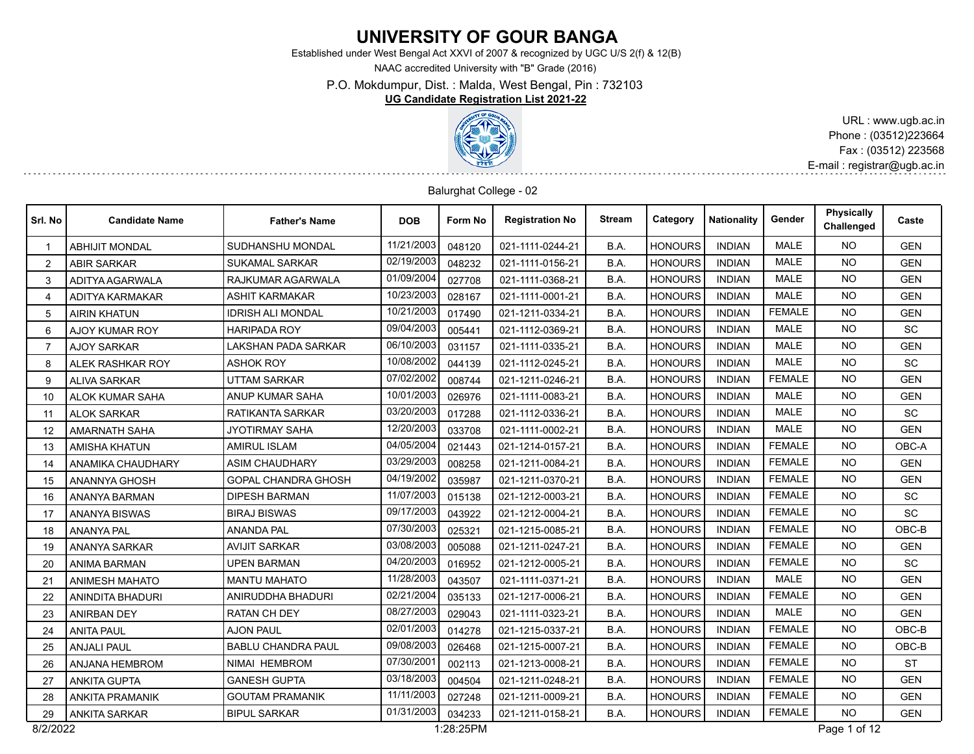# **UNIVERSITY OF GOUR BANGA**

Established under West Bengal Act XXVI of 2007 & recognized by UGC U/S 2(f) & 12(B)

NAAC accredited University with "B" Grade (2016)

P.O. Mokdumpur, Dist. : Malda, West Bengal, Pin : 732103

#### **UG Candidate Registration List 2021-22**



URL : www.ugb.ac.in Phone : (03512)223664 Fax : (03512) 223568 E-mail : registrar@ugb.ac.in

#### Balurghat College - 02

| Srl. No        | <b>Candidate Name</b>   | <b>Father's Name</b>       | <b>DOB</b> | Form No   | <b>Registration No</b> | <b>Stream</b> | Category       | <b>Nationality</b> | Gender        | <b>Physically</b><br>Challenged | Caste      |
|----------------|-------------------------|----------------------------|------------|-----------|------------------------|---------------|----------------|--------------------|---------------|---------------------------------|------------|
| $\mathbf 1$    | <b>ABHIJIT MONDAL</b>   | SUDHANSHU MONDAL           | 11/21/2003 | 048120    | 021-1111-0244-21       | B.A.          | <b>HONOURS</b> | <b>INDIAN</b>      | <b>MALE</b>   | NO.                             | <b>GEN</b> |
| 2              | <b>ABIR SARKAR</b>      | <b>SUKAMAL SARKAR</b>      | 02/19/2003 | 048232    | 021-1111-0156-21       | B.A.          | <b>HONOURS</b> | <b>INDIAN</b>      | <b>MALE</b>   | <b>NO</b>                       | <b>GEN</b> |
| 3              | ADITYA AGARWALA         | RAJKUMAR AGARWALA          | 01/09/2004 | 027708    | 021-1111-0368-21       | B.A.          | <b>HONOURS</b> | <b>INDIAN</b>      | <b>MALE</b>   | NO.                             | <b>GEN</b> |
| $\overline{4}$ | ADITYA KARMAKAR         | <b>ASHIT KARMAKAR</b>      | 10/23/2003 | 028167    | 021-1111-0001-21       | B.A.          | <b>HONOURS</b> | <b>INDIAN</b>      | <b>MALE</b>   | NO.                             | <b>GEN</b> |
| 5              | <b>AIRIN KHATUN</b>     | <b>IDRISH ALI MONDAL</b>   | 10/21/2003 | 017490    | 021-1211-0334-21       | B.A.          | <b>HONOURS</b> | <b>INDIAN</b>      | <b>FEMALE</b> | <b>NO</b>                       | <b>GEN</b> |
| 6              | <b>AJOY KUMAR ROY</b>   | <b>HARIPADA ROY</b>        | 09/04/2003 | 005441    | 021-1112-0369-21       | B.A.          | <b>HONOURS</b> | <b>INDIAN</b>      | <b>MALE</b>   | <b>NO</b>                       | <b>SC</b>  |
| $\overline{7}$ | <b>AJOY SARKAR</b>      | LAKSHAN PADA SARKAR        | 06/10/2003 | 031157    | 021-1111-0335-21       | B.A.          | <b>HONOURS</b> | <b>INDIAN</b>      | <b>MALE</b>   | NO.                             | <b>GEN</b> |
| 8              | ALEK RASHKAR ROY        | <b>ASHOK ROY</b>           | 10/08/2002 | 044139    | 021-1112-0245-21       | B.A.          | <b>HONOURS</b> | <b>INDIAN</b>      | <b>MALE</b>   | <b>NO</b>                       | <b>SC</b>  |
| 9              | <b>ALIVA SARKAR</b>     | <b>UTTAM SARKAR</b>        | 07/02/2002 | 008744    | 021-1211-0246-21       | B.A.          | <b>HONOURS</b> | <b>INDIAN</b>      | <b>FEMALE</b> | <b>NO</b>                       | <b>GEN</b> |
| 10             | ALOK KUMAR SAHA         | ANUP KUMAR SAHA            | 10/01/2003 | 026976    | 021-1111-0083-21       | B.A.          | <b>HONOURS</b> | <b>INDIAN</b>      | <b>MALE</b>   | <b>NO</b>                       | <b>GEN</b> |
| 11             | <b>ALOK SARKAR</b>      | RATIKANTA SARKAR           | 03/20/2003 | 017288    | 021-1112-0336-21       | B.A.          | <b>HONOURS</b> | <b>INDIAN</b>      | <b>MALE</b>   | <b>NO</b>                       | <b>SC</b>  |
| 12             | <b>AMARNATH SAHA</b>    | <b>JYOTIRMAY SAHA</b>      | 12/20/2003 | 033708    | 021-1111-0002-21       | B.A.          | <b>HONOURS</b> | <b>INDIAN</b>      | <b>MALE</b>   | <b>NO</b>                       | <b>GEN</b> |
| 13             | <b>AMISHA KHATUN</b>    | <b>AMIRUL ISLAM</b>        | 04/05/2004 | 021443    | 021-1214-0157-21       | B.A.          | <b>HONOURS</b> | <b>INDIAN</b>      | <b>FEMALE</b> | <b>NO</b>                       | OBC-A      |
| 14             | ANAMIKA CHAUDHARY       | <b>ASIM CHAUDHARY</b>      | 03/29/2003 | 008258    | 021-1211-0084-21       | B.A.          | <b>HONOURS</b> | <b>INDIAN</b>      | <b>FEMALE</b> | <b>NO</b>                       | <b>GEN</b> |
| 15             | ANANNYA GHOSH           | <b>GOPAL CHANDRA GHOSH</b> | 04/19/2002 | 035987    | 021-1211-0370-21       | B.A.          | <b>HONOURS</b> | <b>INDIAN</b>      | <b>FEMALE</b> | <b>NO</b>                       | <b>GEN</b> |
| 16             | <b>ANANYA BARMAN</b>    | <b>DIPESH BARMAN</b>       | 11/07/2003 | 015138    | 021-1212-0003-21       | B.A.          | <b>HONOURS</b> | <b>INDIAN</b>      | <b>FEMALE</b> | NO.                             | <b>SC</b>  |
| 17             | <b>ANANYA BISWAS</b>    | <b>BIRAJ BISWAS</b>        | 09/17/2003 | 043922    | 021-1212-0004-21       | B.A.          | <b>HONOURS</b> | <b>INDIAN</b>      | <b>FEMALE</b> | <b>NO</b>                       | SC         |
| 18             | <b>ANANYA PAL</b>       | <b>ANANDA PAL</b>          | 07/30/2003 | 025321    | 021-1215-0085-21       | B.A.          | <b>HONOURS</b> | <b>INDIAN</b>      | <b>FEMALE</b> | <b>NO</b>                       | OBC-B      |
| 19             | <b>ANANYA SARKAR</b>    | <b>AVIJIT SARKAR</b>       | 03/08/2003 | 005088    | 021-1211-0247-21       | B.A.          | <b>HONOURS</b> | <b>INDIAN</b>      | <b>FEMALE</b> | <b>NO</b>                       | <b>GEN</b> |
| 20             | ANIMA BARMAN            | <b>UPEN BARMAN</b>         | 04/20/2003 | 016952    | 021-1212-0005-21       | B.A.          | <b>HONOURS</b> | <b>INDIAN</b>      | <b>FEMALE</b> | <b>NO</b>                       | <b>SC</b>  |
| 21             | <b>ANIMESH MAHATO</b>   | <b>MANTU MAHATO</b>        | 11/28/2003 | 043507    | 021-1111-0371-21       | B.A.          | <b>HONOURS</b> | <b>INDIAN</b>      | <b>MALE</b>   | <b>NO</b>                       | <b>GEN</b> |
| 22             | <b>ANINDITA BHADURI</b> | ANIRUDDHA BHADURI          | 02/21/2004 | 035133    | 021-1217-0006-21       | B.A.          | <b>HONOURS</b> | <b>INDIAN</b>      | <b>FEMALE</b> | <b>NO</b>                       | <b>GEN</b> |
| 23             | <b>ANIRBAN DEY</b>      | <b>RATAN CH DEY</b>        | 08/27/2003 | 029043    | 021-1111-0323-21       | B.A.          | <b>HONOURS</b> | <b>INDIAN</b>      | <b>MALE</b>   | <b>NO</b>                       | <b>GEN</b> |
| 24             | <b>ANITA PAUL</b>       | <b>AJON PAUL</b>           | 02/01/2003 | 014278    | 021-1215-0337-21       | B.A.          | <b>HONOURS</b> | <b>INDIAN</b>      | <b>FEMALE</b> | <b>NO</b>                       | OBC-B      |
| 25             | <b>ANJALI PAUL</b>      | <b>BABLU CHANDRA PAUL</b>  | 09/08/2003 | 026468    | 021-1215-0007-21       | B.A.          | <b>HONOURS</b> | <b>INDIAN</b>      | <b>FEMALE</b> | <b>NO</b>                       | OBC-B      |
| 26             | ANJANA HEMBROM          | NIMAI HEMBROM              | 07/30/2001 | 002113    | 021-1213-0008-21       | B.A.          | <b>HONOURS</b> | <b>INDIAN</b>      | <b>FEMALE</b> | <b>NO</b>                       | <b>ST</b>  |
| 27             | <b>ANKITA GUPTA</b>     | <b>GANESH GUPTA</b>        | 03/18/2003 | 004504    | 021-1211-0248-21       | B.A.          | <b>HONOURS</b> | <b>INDIAN</b>      | <b>FEMALE</b> | <b>NO</b>                       | <b>GEN</b> |
| 28             | <b>ANKITA PRAMANIK</b>  | <b>GOUTAM PRAMANIK</b>     | 11/11/2003 | 027248    | 021-1211-0009-21       | B.A.          | <b>HONOURS</b> | <b>INDIAN</b>      | <b>FEMALE</b> | <b>NO</b>                       | <b>GEN</b> |
| 29             | <b>ANKITA SARKAR</b>    | <b>BIPUL SARKAR</b>        | 01/31/2003 | 034233    | 021-1211-0158-21       | B.A.          | <b>HONOURS</b> | <b>INDIAN</b>      | <b>FEMALE</b> | NO.                             | <b>GEN</b> |
| 8/2/2022       |                         |                            |            | 1:28:25PM |                        |               |                |                    |               | Page 1 of 12                    |            |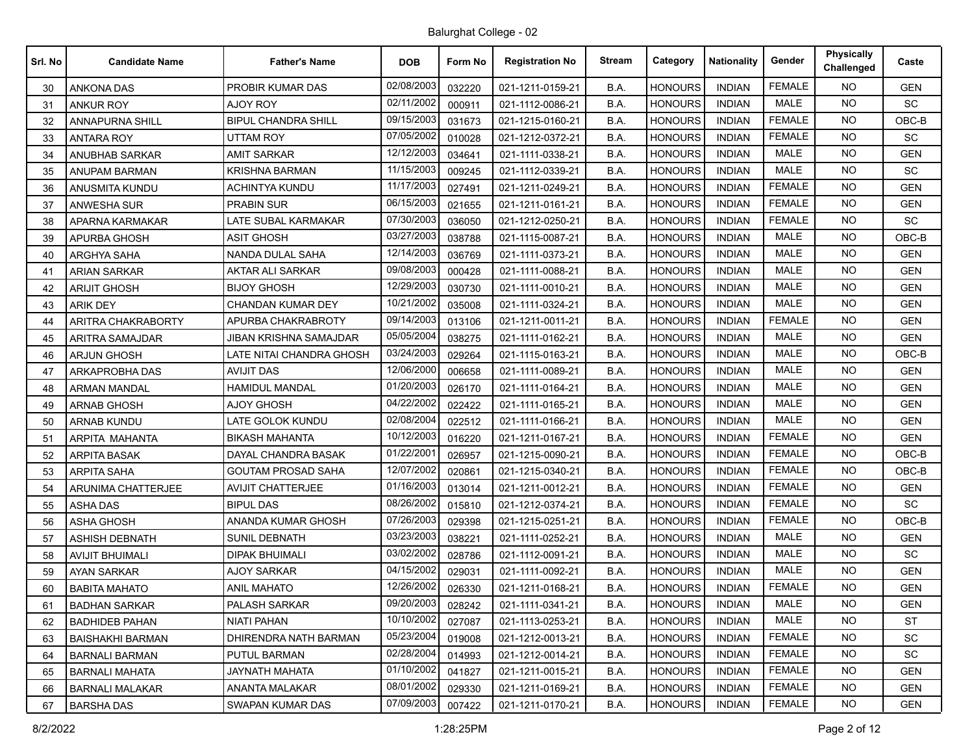| Srl. No | <b>Candidate Name</b>   | <b>Father's Name</b>       | <b>DOB</b> | Form No | <b>Registration No</b> | <b>Stream</b> | Category       | <b>Nationality</b> | Gender        | <b>Physically</b><br>Challenged | Caste      |
|---------|-------------------------|----------------------------|------------|---------|------------------------|---------------|----------------|--------------------|---------------|---------------------------------|------------|
| 30      | <b>ANKONA DAS</b>       | PROBIR KUMAR DAS           | 02/08/2003 | 032220  | 021-1211-0159-21       | B.A.          | <b>HONOURS</b> | <b>INDIAN</b>      | <b>FEMALE</b> | NO.                             | <b>GEN</b> |
| 31      | ANKUR ROY               | AJOY ROY                   | 02/11/2002 | 000911  | 021-1112-0086-21       | B.A.          | <b>HONOURS</b> | <b>INDIAN</b>      | <b>MALE</b>   | <b>NO</b>                       | SC         |
| 32      | <b>ANNAPURNA SHILL</b>  | <b>BIPUL CHANDRA SHILL</b> | 09/15/2003 | 031673  | 021-1215-0160-21       | B.A.          | <b>HONOURS</b> | <b>INDIAN</b>      | <b>FEMALE</b> | NO.                             | OBC-B      |
| 33      | <b>ANTARA ROY</b>       | <b>UTTAM ROY</b>           | 07/05/2002 | 010028  | 021-1212-0372-21       | B.A.          | <b>HONOURS</b> | <b>INDIAN</b>      | <b>FEMALE</b> | <b>NO</b>                       | <b>SC</b>  |
| 34      | ANUBHAB SARKAR          | <b>AMIT SARKAR</b>         | 12/12/2003 | 034641  | 021-1111-0338-21       | B.A.          | <b>HONOURS</b> | <b>INDIAN</b>      | <b>MALE</b>   | NO.                             | <b>GEN</b> |
| 35      | ANUPAM BARMAN           | KRISHNA BARMAN             | 11/15/2003 | 009245  | 021-1112-0339-21       | B.A.          | <b>HONOURS</b> | <b>INDIAN</b>      | <b>MALE</b>   | <b>NO</b>                       | <b>SC</b>  |
| 36      | ANUSMITA KUNDU          | <b>ACHINTYA KUNDU</b>      | 11/17/2003 | 027491  | 021-1211-0249-21       | B.A.          | <b>HONOURS</b> | <b>INDIAN</b>      | <b>FEMALE</b> | NO.                             | <b>GEN</b> |
| 37      | <b>ANWESHA SUR</b>      | <b>PRABIN SUR</b>          | 06/15/2003 | 021655  | 021-1211-0161-21       | B.A.          | <b>HONOURS</b> | <b>INDIAN</b>      | <b>FEMALE</b> | NO.                             | <b>GEN</b> |
| 38      | APARNA KARMAKAR         | LATE SUBAL KARMAKAR        | 07/30/2003 | 036050  | 021-1212-0250-21       | B.A.          | <b>HONOURS</b> | <b>INDIAN</b>      | <b>FEMALE</b> | NO.                             | SC         |
| 39      | APURBA GHOSH            | ASIT GHOSH                 | 03/27/2003 | 038788  | 021-1115-0087-21       | B.A.          | HONOURS        | <b>INDIAN</b>      | <b>MALE</b>   | NO.                             | OBC-B      |
| 40      | ARGHYA SAHA             | NANDA DULAL SAHA           | 12/14/2003 | 036769  | 021-1111-0373-21       | B.A.          | <b>HONOURS</b> | <b>INDIAN</b>      | <b>MALE</b>   | <b>NO</b>                       | <b>GEN</b> |
| 41      | <b>ARIAN SARKAR</b>     | AKTAR ALI SARKAR           | 09/08/2003 | 000428  | 021-1111-0088-21       | B.A.          | <b>HONOURS</b> | <b>INDIAN</b>      | <b>MALE</b>   | <b>NO</b>                       | <b>GEN</b> |
| 42      | <b>ARIJIT GHOSH</b>     | <b>BIJOY GHOSH</b>         | 12/29/2003 | 030730  | 021-1111-0010-21       | B.A.          | <b>HONOURS</b> | <b>INDIAN</b>      | <b>MALE</b>   | NO.                             | <b>GEN</b> |
| 43      | <b>ARIK DEY</b>         | <b>CHANDAN KUMAR DEY</b>   | 10/21/2002 | 035008  | 021-1111-0324-21       | B.A.          | <b>HONOURS</b> | <b>INDIAN</b>      | <b>MALE</b>   | <b>NO</b>                       | <b>GEN</b> |
| 44      | ARITRA CHAKRABORTY      | APURBA CHAKRABROTY         | 09/14/2003 | 013106  | 021-1211-0011-21       | B.A.          | <b>HONOURS</b> | <b>INDIAN</b>      | <b>FEMALE</b> | <b>NO</b>                       | <b>GEN</b> |
| 45      | ARITRA SAMAJDAR         | JIBAN KRISHNA SAMAJDAR     | 05/05/2004 | 038275  | 021-1111-0162-21       | B.A.          | <b>HONOURS</b> | <b>INDIAN</b>      | <b>MALE</b>   | <b>NO</b>                       | <b>GEN</b> |
| 46      | <b>ARJUN GHOSH</b>      | LATE NITAI CHANDRA GHOSH   | 03/24/2003 | 029264  | 021-1115-0163-21       | B.A.          | <b>HONOURS</b> | <b>INDIAN</b>      | <b>MALE</b>   | NO.                             | OBC-B      |
| 47      | ARKAPROBHA DAS          | <b>AVIJIT DAS</b>          | 12/06/2000 | 006658  | 021-1111-0089-21       | B.A.          | <b>HONOURS</b> | <b>INDIAN</b>      | <b>MALE</b>   | NO.                             | <b>GEN</b> |
| 48      | <b>ARMAN MANDAL</b>     | <b>HAMIDUL MANDAL</b>      | 01/20/2003 | 026170  | 021-1111-0164-21       | B.A.          | <b>HONOURS</b> | <b>INDIAN</b>      | <b>MALE</b>   | <b>NO</b>                       | <b>GEN</b> |
| 49      | <b>ARNAB GHOSH</b>      | <b>AJOY GHOSH</b>          | 04/22/2002 | 022422  | 021-1111-0165-21       | B.A.          | <b>HONOURS</b> | <b>INDIAN</b>      | <b>MALE</b>   | NO.                             | <b>GEN</b> |
| 50      | ARNAB KUNDU             | LATE GOLOK KUNDU           | 02/08/2004 | 022512  | 021-1111-0166-21       | B.A.          | <b>HONOURS</b> | <b>INDIAN</b>      | <b>MALE</b>   | NO.                             | <b>GEN</b> |
| 51      | ARPITA MAHANTA          | <b>BIKASH MAHANTA</b>      | 10/12/2003 | 016220  | 021-1211-0167-21       | B.A.          | <b>HONOURS</b> | <b>INDIAN</b>      | <b>FEMALE</b> | NO.                             | <b>GEN</b> |
| 52      | <b>ARPITA BASAK</b>     | DAYAL CHANDRA BASAK        | 01/22/2001 | 026957  | 021-1215-0090-21       | B.A.          | <b>HONOURS</b> | <b>INDIAN</b>      | <b>FEMALE</b> | <b>NO</b>                       | OBC-B      |
| 53      | <b>ARPITA SAHA</b>      | <b>GOUTAM PROSAD SAHA</b>  | 12/07/2002 | 020861  | 021-1215-0340-21       | B.A.          | <b>HONOURS</b> | <b>INDIAN</b>      | <b>FEMALE</b> | NO.                             | OBC-B      |
| 54      | ARUNIMA CHATTERJEE      | <b>AVIJIT CHATTERJEE</b>   | 01/16/2003 | 013014  | 021-1211-0012-21       | B.A.          | <b>HONOURS</b> | <b>INDIAN</b>      | <b>FEMALE</b> | <b>NO</b>                       | <b>GEN</b> |
| 55      | <b>ASHA DAS</b>         | <b>BIPUL DAS</b>           | 08/26/2002 | 015810  | 021-1212-0374-21       | B.A.          | <b>HONOURS</b> | <b>INDIAN</b>      | <b>FEMALE</b> | NO.                             | SC         |
| 56      | <b>ASHA GHOSH</b>       | ANANDA KUMAR GHOSH         | 07/26/2003 | 029398  | 021-1215-0251-21       | B.A.          | <b>HONOURS</b> | <b>INDIAN</b>      | <b>FEMALE</b> | <b>NO</b>                       | OBC-B      |
| 57      | <b>ASHISH DEBNATH</b>   | SUNIL DEBNATH              | 03/23/2003 | 038221  | 021-1111-0252-21       | B.A.          | <b>HONOURS</b> | <b>INDIAN</b>      | <b>MALE</b>   | NO.                             | <b>GEN</b> |
| 58      | <b>AVIJIT BHUIMALI</b>  | <b>DIPAK BHUIMALI</b>      | 03/02/2002 | 028786  | 021-1112-0091-21       | B.A.          | <b>HONOURS</b> | <b>INDIAN</b>      | <b>MALE</b>   | <b>NO</b>                       | <b>SC</b>  |
| 59      | <b>AYAN SARKAR</b>      | AJOY SARKAR                | 04/15/2002 | 029031  | 021-1111-0092-21       | B.A.          | <b>HONOURS</b> | <b>INDIAN</b>      | <b>MALE</b>   | NO.                             | <b>GEN</b> |
| 60      | <b>BABITA MAHATO</b>    | <b>ANIL MAHATO</b>         | 12/26/2002 | 026330  | 021-1211-0168-21       | B.A.          | <b>HONOURS</b> | <b>INDIAN</b>      | <b>FEMALE</b> | <b>NO</b>                       | <b>GEN</b> |
| 61      | <b>BADHAN SARKAR</b>    | <b>PALASH SARKAR</b>       | 09/20/2003 | 028242  | 021-1111-0341-21       | B.A.          | <b>HONOURS</b> | <b>INDIAN</b>      | MALE          | <b>NO</b>                       | <b>GEN</b> |
| 62      | <b>BADHIDEB PAHAN</b>   | <b>NIATI PAHAN</b>         | 10/10/2002 | 027087  | 021-1113-0253-21       | B.A.          | <b>HONOURS</b> | <b>INDIAN</b>      | MALE          | NO.                             | ST         |
| 63      | <b>BAISHAKHI BARMAN</b> | DHIRENDRA NATH BARMAN      | 05/23/2004 | 019008  | 021-1212-0013-21       | B.A.          | <b>HONOURS</b> | <b>INDIAN</b>      | <b>FEMALE</b> | <b>NO</b>                       | SC         |
| 64      | <b>BARNALI BARMAN</b>   | PUTUL BARMAN               | 02/28/2004 | 014993  | 021-1212-0014-21       | B.A.          | <b>HONOURS</b> | <b>INDIAN</b>      | <b>FEMALE</b> | NO.                             | <b>SC</b>  |
| 65      | <b>BARNALI MAHATA</b>   | JAYNATH MAHATA             | 01/10/2002 | 041827  | 021-1211-0015-21       | B.A.          | <b>HONOURS</b> | <b>INDIAN</b>      | <b>FEMALE</b> | NO.                             | <b>GEN</b> |
| 66      | <b>BARNALI MALAKAR</b>  | ANANTA MALAKAR             | 08/01/2002 | 029330  | 021-1211-0169-21       | B.A.          | <b>HONOURS</b> | <b>INDIAN</b>      | <b>FEMALE</b> | NO.                             | <b>GEN</b> |
| 67      | <b>BARSHA DAS</b>       | SWAPAN KUMAR DAS           | 07/09/2003 | 007422  | 021-1211-0170-21       | B.A.          | <b>HONOURS</b> | <b>INDIAN</b>      | <b>FEMALE</b> | NO.                             | <b>GEN</b> |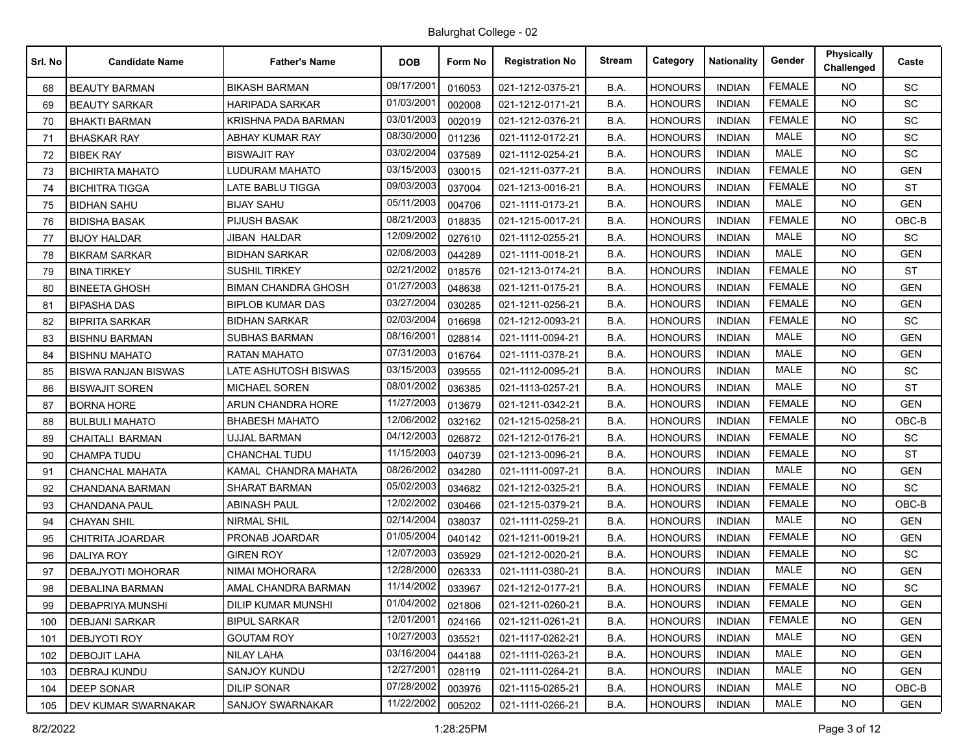| Srl. No | <b>Candidate Name</b>      | <b>Father's Name</b>       | <b>DOB</b> | Form No | <b>Registration No</b> | <b>Stream</b> | Category       | <b>Nationality</b> | Gender        | <b>Physically</b><br>Challenged | Caste      |
|---------|----------------------------|----------------------------|------------|---------|------------------------|---------------|----------------|--------------------|---------------|---------------------------------|------------|
| 68      | <b>BEAUTY BARMAN</b>       | <b>BIKASH BARMAN</b>       | 09/17/2001 | 016053  | 021-1212-0375-21       | B.A.          | <b>HONOURS</b> | <b>INDIAN</b>      | <b>FEMALE</b> | <b>NO</b>                       | <b>SC</b>  |
| 69      | <b>BEAUTY SARKAR</b>       | <b>HARIPADA SARKAR</b>     | 01/03/200  | 002008  | 021-1212-0171-21       | B.A.          | <b>HONOURS</b> | <b>INDIAN</b>      | <b>FEMALE</b> | <b>NO</b>                       | SC         |
| 70      | <b>BHAKTI BARMAN</b>       | KRISHNA PADA BARMAN        | 03/01/2003 | 002019  | 021-1212-0376-21       | B.A.          | <b>HONOURS</b> | <b>INDIAN</b>      | <b>FEMALE</b> | NO.                             | <b>SC</b>  |
| 71      | <b>BHASKAR RAY</b>         | ABHAY KUMAR RAY            | 08/30/2000 | 011236  | 021-1112-0172-21       | B.A.          | <b>HONOURS</b> | <b>INDIAN</b>      | <b>MALE</b>   | <b>NO</b>                       | SC         |
| 72      | <b>BIBEK RAY</b>           | <b>BISWAJIT RAY</b>        | 03/02/2004 | 037589  | 021-1112-0254-21       | B.A.          | <b>HONOURS</b> | <b>INDIAN</b>      | <b>MALE</b>   | NO.                             | <b>SC</b>  |
| 73      | <b>BICHIRTA MAHATO</b>     | LUDURAM MAHATO             | 03/15/2003 | 030015  | 021-1211-0377-21       | B.A.          | <b>HONOURS</b> | <b>INDIAN</b>      | <b>FEMALE</b> | NO.                             | <b>GEN</b> |
| 74      | <b>BICHITRA TIGGA</b>      | <b>LATE BABLU TIGGA</b>    | 09/03/2003 | 037004  | 021-1213-0016-21       | B.A.          | <b>HONOURS</b> | <b>INDIAN</b>      | <b>FEMALE</b> | NO.                             | ST         |
| 75      | <b>BIDHAN SAHU</b>         | <b>BIJAY SAHU</b>          | 05/11/2003 | 004706  | 021-1111-0173-21       | B.A.          | <b>HONOURS</b> | <b>INDIAN</b>      | <b>MALE</b>   | <b>NO</b>                       | <b>GEN</b> |
| 76      | <b>BIDISHA BASAK</b>       | <b>PIJUSH BASAK</b>        | 08/21/2003 | 018835  | 021-1215-0017-21       | B.A.          | <b>HONOURS</b> | <b>INDIAN</b>      | <b>FEMALE</b> | NO.                             | OBC-B      |
| 77      | <b>BIJOY HALDAR</b>        | JIBAN HALDAR               | 12/09/2002 | 027610  | 021-1112-0255-21       | B.A.          | <b>HONOURS</b> | <b>INDIAN</b>      | <b>MALE</b>   | <b>NO</b>                       | SC         |
| 78      | <b>BIKRAM SARKAR</b>       | <b>BIDHAN SARKAR</b>       | 02/08/2003 | 044289  | 021-1111-0018-21       | B.A.          | <b>HONOURS</b> | <b>INDIAN</b>      | <b>MALE</b>   | NO.                             | <b>GEN</b> |
| 79      | <b>BINA TIRKEY</b>         | <b>SUSHIL TIRKEY</b>       | 02/21/2002 | 018576  | 021-1213-0174-21       | B.A.          | <b>HONOURS</b> | <b>INDIAN</b>      | <b>FEMALE</b> | <b>NO</b>                       | <b>ST</b>  |
| 80      | <b>BINEETA GHOSH</b>       | <b>BIMAN CHANDRA GHOSH</b> | 01/27/2003 | 048638  | 021-1211-0175-21       | B.A.          | <b>HONOURS</b> | <b>INDIAN</b>      | <b>FEMALE</b> | NO.                             | <b>GEN</b> |
| 81      | <b>BIPASHA DAS</b>         | <b>BIPLOB KUMAR DAS</b>    | 03/27/2004 | 030285  | 021-1211-0256-21       | B.A.          | <b>HONOURS</b> | <b>INDIAN</b>      | <b>FEMALE</b> | NO.                             | GEN        |
| 82      | <b>BIPRITA SARKAR</b>      | <b>BIDHAN SARKAR</b>       | 02/03/2004 | 016698  | 021-1212-0093-21       | B.A.          | <b>HONOURS</b> | <b>INDIAN</b>      | <b>FEMALE</b> | NO.                             | SC         |
| 83      | <b>BISHNU BARMAN</b>       | <b>SUBHAS BARMAN</b>       | 08/16/200  | 028814  | 021-1111-0094-21       | B.A.          | <b>HONOURS</b> | <b>INDIAN</b>      | <b>MALE</b>   | NO.                             | <b>GEN</b> |
| 84      | <b>BISHNU MAHATO</b>       | <b>RATAN MAHATO</b>        | 07/31/2003 | 016764  | 021-1111-0378-21       | B.A.          | <b>HONOURS</b> | <b>INDIAN</b>      | <b>MALE</b>   | NO.                             | <b>GEN</b> |
| 85      | <b>BISWA RANJAN BISWAS</b> | LATE ASHUTOSH BISWAS       | 03/15/2003 | 039555  | 021-1112-0095-21       | B.A.          | <b>HONOURS</b> | <b>INDIAN</b>      | <b>MALE</b>   | <b>NO</b>                       | SC         |
| 86      | <b>BISWAJIT SOREN</b>      | <b>MICHAEL SOREN</b>       | 08/01/2002 | 036385  | 021-1113-0257-21       | B.A.          | <b>HONOURS</b> | <b>INDIAN</b>      | <b>MALE</b>   | <b>NO</b>                       | <b>ST</b>  |
| 87      | <b>BORNA HORE</b>          | ARUN CHANDRA HORE          | 11/27/2003 | 013679  | 021-1211-0342-21       | B.A.          | <b>HONOURS</b> | <b>INDIAN</b>      | <b>FEMALE</b> | <b>NO</b>                       | <b>GEN</b> |
| 88      | <b>BULBULI MAHATO</b>      | <b>BHABESH MAHATO</b>      | 12/06/2002 | 032162  | 021-1215-0258-21       | B.A.          | <b>HONOURS</b> | <b>INDIAN</b>      | <b>FEMALE</b> | NO.                             | $OBC-B$    |
| 89      | CHAITALI BARMAN            | UJJAL BARMAN               | 04/12/2003 | 026872  | 021-1212-0176-21       | B.A.          | <b>HONOURS</b> | <b>INDIAN</b>      | <b>FEMALE</b> | <b>NO</b>                       | <b>SC</b>  |
| 90      | CHAMPA TUDU                | <b>CHANCHAL TUDU</b>       | 11/15/2003 | 040739  | 021-1213-0096-21       | B.A.          | <b>HONOURS</b> | <b>INDIAN</b>      | <b>FEMALE</b> | <b>NO</b>                       | <b>ST</b>  |
| 91      | <b>CHANCHAL MAHATA</b>     | KAMAL CHANDRA MAHATA       | 08/26/2002 | 034280  | 021-1111-0097-21       | B.A.          | <b>HONOURS</b> | <b>INDIAN</b>      | <b>MALE</b>   | <b>NO</b>                       | <b>GEN</b> |
| 92      | CHANDANA BARMAN            | <b>SHARAT BARMAN</b>       | 05/02/2003 | 034682  | 021-1212-0325-21       | B.A.          | <b>HONOURS</b> | <b>INDIAN</b>      | <b>FEMALE</b> | NO.                             | SC         |
| 93      | <b>CHANDANA PAUL</b>       | ABINASH PAUL               | 12/02/2002 | 030466  | 021-1215-0379-21       | B.A.          | <b>HONOURS</b> | <b>INDIAN</b>      | <b>FEMALE</b> | <b>NO</b>                       | OBC-B      |
| 94      | <b>CHAYAN SHIL</b>         | <b>NIRMAL SHIL</b>         | 02/14/2004 | 038037  | 021-1111-0259-21       | B.A.          | <b>HONOURS</b> | <b>INDIAN</b>      | <b>MALE</b>   | <b>NO</b>                       | <b>GEN</b> |
| 95      | CHITRITA JOARDAR           | PRONAB JOARDAR             | 01/05/2004 | 040142  | 021-1211-0019-21       | B.A.          | <b>HONOURS</b> | <b>INDIAN</b>      | <b>FEMALE</b> | NO.                             | <b>GEN</b> |
| 96      | <b>DALIYA ROY</b>          | <b>GIREN ROY</b>           | 12/07/2003 | 035929  | 021-1212-0020-21       | B.A.          | <b>HONOURS</b> | <b>INDIAN</b>      | <b>FEMALE</b> | <b>NO</b>                       | <b>SC</b>  |
| 97      | DEBAJYOTI MOHORAR          | <b>NIMAI MOHORARA</b>      | 12/28/2000 | 026333  | 021-1111-0380-21       | B.A.          | <b>HONOURS</b> | <b>INDIAN</b>      | <b>MALE</b>   | <b>NO</b>                       | <b>GEN</b> |
| 98      | <b>DEBALINA BARMAN</b>     | AMAL CHANDRA BARMAN        | 11/14/2002 | 033967  | 021-1212-0177-21       | B.A.          | <b>HONOURS</b> | <b>INDIAN</b>      | <b>FEMALE</b> | <b>NO</b>                       | SC         |
| 99      | <b>DEBAPRIYA MUNSHI</b>    | <b>DILIP KUMAR MUNSHI</b>  | 01/04/2002 | 021806  | 021-1211-0260-21       | B.A.          | HONOURS        | <b>INDIAN</b>      | <b>FEMALE</b> | NO.                             | <b>GEN</b> |
| 100     | <b>DEBJANI SARKAR</b>      | <b>BIPUL SARKAR</b>        | 12/01/2001 | 024166  | 021-1211-0261-21       | B.A.          | <b>HONOURS</b> | <b>INDIAN</b>      | <b>FEMALE</b> | <b>NO</b>                       | <b>GEN</b> |
| 101     | <b>DEBJYOTI ROY</b>        | <b>GOUTAM ROY</b>          | 10/27/2003 | 035521  | 021-1117-0262-21       | B.A.          | <b>HONOURS</b> | <b>INDIAN</b>      | MALE          | <b>NO</b>                       | <b>GEN</b> |
| 102     | <b>DEBOJIT LAHA</b>        | NILAY LAHA                 | 03/16/2004 | 044188  | 021-1111-0263-21       | B.A.          | <b>HONOURS</b> | <b>INDIAN</b>      | MALE          | <b>NO</b>                       | <b>GEN</b> |
| 103     | DEBRAJ KUNDU               | SANJOY KUNDU               | 12/27/2001 | 028119  | 021-1111-0264-21       | B.A.          | <b>HONOURS</b> | <b>INDIAN</b>      | MALE          | NO.                             | <b>GEN</b> |
| 104     | <b>DEEP SONAR</b>          | <b>DILIP SONAR</b>         | 07/28/2002 | 003976  | 021-1115-0265-21       | B.A.          | <b>HONOURS</b> | <b>INDIAN</b>      | MALE          | <b>NO</b>                       | OBC-B      |
| 105     | <b>DEV KUMAR SWARNAKAR</b> | SANJOY SWARNAKAR           | 11/22/2002 | 005202  | 021-1111-0266-21       | B.A.          | <b>HONOURS</b> | <b>INDIAN</b>      | MALE          | <b>NO</b>                       | <b>GEN</b> |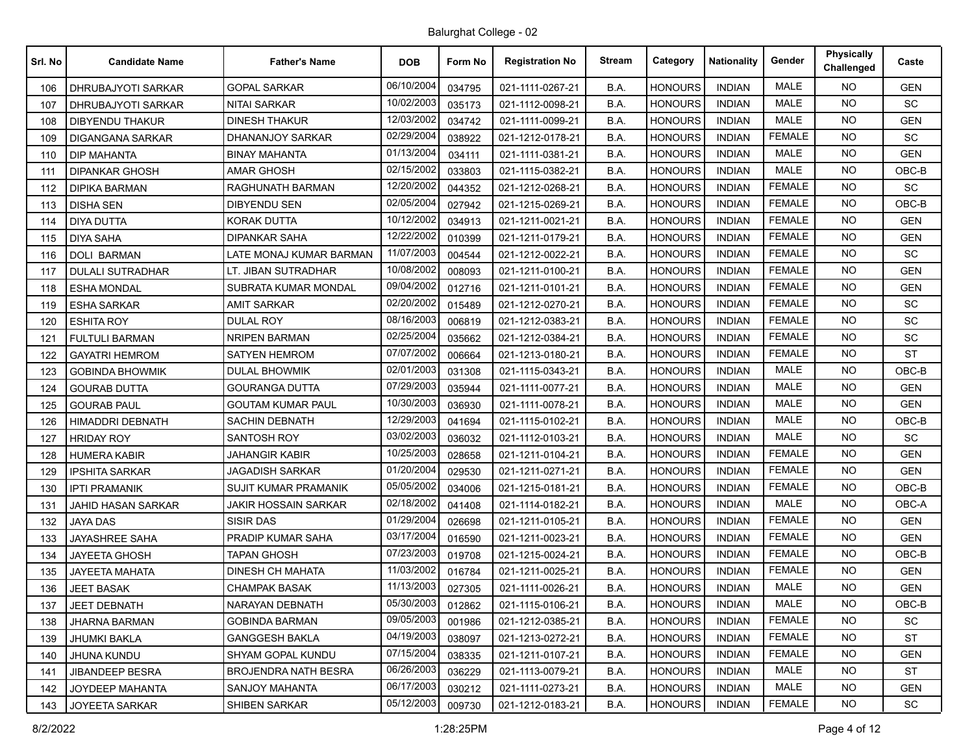| Srl. No | <b>Candidate Name</b>   | <b>Father's Name</b>        | <b>DOB</b> | Form No | <b>Registration No</b> | <b>Stream</b> | Category       | <b>Nationality</b> | Gender        | <b>Physically</b><br>Challenged | Caste      |
|---------|-------------------------|-----------------------------|------------|---------|------------------------|---------------|----------------|--------------------|---------------|---------------------------------|------------|
| 106     | DHRUBAJYOTI SARKAR      | <b>GOPAL SARKAR</b>         | 06/10/2004 | 034795  | 021-1111-0267-21       | B.A.          | <b>HONOURS</b> | <b>INDIAN</b>      | <b>MALE</b>   | NO.                             | <b>GEN</b> |
| 107     | DHRUBAJYOTI SARKAR      | NITAI SARKAR                | 10/02/2003 | 035173  | 021-1112-0098-21       | B.A.          | <b>HONOURS</b> | <b>INDIAN</b>      | <b>MALE</b>   | <b>NO</b>                       | SC         |
| 108     | <b>DIBYENDU THAKUR</b>  | <b>DINESH THAKUR</b>        | 12/03/2002 | 034742  | 021-1111-0099-21       | B.A.          | <b>HONOURS</b> | <b>INDIAN</b>      | <b>MALE</b>   | <b>NO</b>                       | <b>GEN</b> |
| 109     | DIGANGANA SARKAR        | DHANANJOY SARKAR            | 02/29/2004 | 038922  | 021-1212-0178-21       | B.A.          | <b>HONOURS</b> | <b>INDIAN</b>      | <b>FEMALE</b> | <b>NO</b>                       | <b>SC</b>  |
| 110     | <b>DIP MAHANTA</b>      | <b>BINAY MAHANTA</b>        | 01/13/2004 | 034111  | 021-1111-0381-21       | B.A.          | <b>HONOURS</b> | <b>INDIAN</b>      | <b>MALE</b>   | NO.                             | <b>GEN</b> |
| 111     | <b>DIPANKAR GHOSH</b>   | AMAR GHOSH                  | 02/15/2002 | 033803  | 021-1115-0382-21       | B.A.          | <b>HONOURS</b> | <b>INDIAN</b>      | <b>MALE</b>   | <b>NO</b>                       | OBC-B      |
| 112     | <b>DIPIKA BARMAN</b>    | RAGHUNATH BARMAN            | 12/20/2002 | 044352  | 021-1212-0268-21       | B.A.          | <b>HONOURS</b> | <b>INDIAN</b>      | <b>FEMALE</b> | NO.                             | SC         |
| 113     | <b>DISHA SEN</b>        | <b>DIBYENDU SEN</b>         | 02/05/2004 | 027942  | 021-1215-0269-21       | B.A.          | <b>HONOURS</b> | <b>INDIAN</b>      | <b>FEMALE</b> | NO.                             | OBC-B      |
| 114     | <b>DIYA DUTTA</b>       | <b>KORAK DUTTA</b>          | 10/12/2002 | 034913  | 021-1211-0021-21       | B.A.          | <b>HONOURS</b> | <b>INDIAN</b>      | <b>FEMALE</b> | NO.                             | <b>GEN</b> |
| 115     | <b>DIYA SAHA</b>        | DIPANKAR SAHA               | 12/22/2002 | 010399  | 021-1211-0179-21       | B.A.          | HONOURS        | <b>INDIAN</b>      | <b>FEMALE</b> | <b>NO</b>                       | <b>GEN</b> |
| 116     | <b>DOLI BARMAN</b>      | LATE MONAJ KUMAR BARMAN     | 11/07/2003 | 004544  | 021-1212-0022-21       | B.A.          | <b>HONOURS</b> | <b>INDIAN</b>      | <b>FEMALE</b> | <b>NO</b>                       | <b>SC</b>  |
| 117     | <b>DULALI SUTRADHAR</b> | LT. JIBAN SUTRADHAR         | 10/08/2002 | 008093  | 021-1211-0100-21       | B.A.          | <b>HONOURS</b> | <b>INDIAN</b>      | <b>FEMALE</b> | <b>NO</b>                       | <b>GEN</b> |
| 118     | <b>ESHA MONDAL</b>      | SUBRATA KUMAR MONDAL        | 09/04/2002 | 012716  | 021-1211-0101-21       | B.A.          | <b>HONOURS</b> | <b>INDIAN</b>      | <b>FEMALE</b> | NO.                             | <b>GEN</b> |
| 119     | <b>ESHA SARKAR</b>      | AMIT SARKAR                 | 02/20/2002 | 015489  | 021-1212-0270-21       | B.A.          | <b>HONOURS</b> | <b>INDIAN</b>      | <b>FEMALE</b> | <b>NO</b>                       | <b>SC</b>  |
| 120     | <b>ESHITA ROY</b>       | <b>DULAL ROY</b>            | 08/16/2003 | 006819  | 021-1212-0383-21       | B.A.          | <b>HONOURS</b> | <b>INDIAN</b>      | <b>FEMALE</b> | <b>NO</b>                       | SC         |
| 121     | <b>FULTULI BARMAN</b>   | <b>NRIPEN BARMAN</b>        | 02/25/2004 | 035662  | 021-1212-0384-21       | B.A.          | <b>HONOURS</b> | <b>INDIAN</b>      | <b>FEMALE</b> | <b>NO</b>                       | <b>SC</b>  |
| 122     | <b>GAYATRI HEMROM</b>   | <b>SATYEN HEMROM</b>        | 07/07/2002 | 006664  | 021-1213-0180-21       | B.A.          | <b>HONOURS</b> | <b>INDIAN</b>      | <b>FEMALE</b> | NO.                             | <b>ST</b>  |
| 123     | <b>GOBINDA BHOWMIK</b>  | DULAL BHOWMIK               | 02/01/2003 | 031308  | 021-1115-0343-21       | B.A.          | <b>HONOURS</b> | <b>INDIAN</b>      | <b>MALE</b>   | NO.                             | OBC-B      |
| 124     | <b>GOURAB DUTTA</b>     | <b>GOURANGA DUTTA</b>       | 07/29/2003 | 035944  | 021-1111-0077-21       | B.A.          | <b>HONOURS</b> | <b>INDIAN</b>      | <b>MALE</b>   | <b>NO</b>                       | <b>GEN</b> |
| 125     | <b>GOURAB PAUL</b>      | <b>GOUTAM KUMAR PAUL</b>    | 10/30/2003 | 036930  | 021-1111-0078-21       | B.A.          | <b>HONOURS</b> | <b>INDIAN</b>      | <b>MALE</b>   | NO.                             | <b>GEN</b> |
| 126     | HIMADDRI DEBNATH        | SACHIN DEBNATH              | 12/29/2003 | 041694  | 021-1115-0102-21       | B.A.          | <b>HONOURS</b> | <b>INDIAN</b>      | <b>MALE</b>   | <b>NO</b>                       | OBC-B      |
| 127     | <b>HRIDAY ROY</b>       | <b>SANTOSH ROY</b>          | 03/02/2003 | 036032  | 021-1112-0103-21       | B.A.          | <b>HONOURS</b> | <b>INDIAN</b>      | <b>MALE</b>   | NO.                             | SC         |
| 128     | <b>HUMERA KABIR</b>     | <b>JAHANGIR KABIR</b>       | 10/25/2003 | 028658  | 021-1211-0104-21       | B.A.          | <b>HONOURS</b> | <b>INDIAN</b>      | <b>FEMALE</b> | <b>NO</b>                       | <b>GEN</b> |
| 129     | <b>IPSHITA SARKAR</b>   | JAGADISH SARKAR             | 01/20/2004 | 029530  | 021-1211-0271-21       | B.A.          | <b>HONOURS</b> | <b>INDIAN</b>      | <b>FEMALE</b> | NO.                             | <b>GEN</b> |
| 130     | IPTI PRAMANIK           | SUJIT KUMAR PRAMANIK        | 05/05/2002 | 034006  | 021-1215-0181-21       | B.A.          | <b>HONOURS</b> | <b>INDIAN</b>      | <b>FEMALE</b> | <b>NO</b>                       | OBC-B      |
| 131     | JAHID HASAN SARKAR      | <b>JAKIR HOSSAIN SARKAR</b> | 02/18/2002 | 041408  | 021-1114-0182-21       | B.A.          | <b>HONOURS</b> | <b>INDIAN</b>      | <b>MALE</b>   | <b>NO</b>                       | OBC-A      |
| 132     | <b>JAYA DAS</b>         | <b>SISIR DAS</b>            | 01/29/2004 | 026698  | 021-1211-0105-21       | B.A.          | <b>HONOURS</b> | <b>INDIAN</b>      | <b>FEMALE</b> | <b>NO</b>                       | <b>GEN</b> |
| 133     | JAYASHREE SAHA          | PRADIP KUMAR SAHA           | 03/17/2004 | 016590  | 021-1211-0023-21       | B.A.          | <b>HONOURS</b> | <b>INDIAN</b>      | <b>FEMALE</b> | NO.                             | <b>GEN</b> |
| 134     | <b>JAYEETA GHOSH</b>    | <b>TAPAN GHOSH</b>          | 07/23/2003 | 019708  | 021-1215-0024-21       | B.A.          | <b>HONOURS</b> | <b>INDIAN</b>      | <b>FEMALE</b> | <b>NO</b>                       | OBC-B      |
| 135     | <b>JAYEETA MAHATA</b>   | <b>DINESH CH MAHATA</b>     | 11/03/2002 | 016784  | 021-1211-0025-21       | B.A.          | <b>HONOURS</b> | <b>INDIAN</b>      | <b>FEMALE</b> | NO.                             | <b>GEN</b> |
| 136     | <b>JEET BASAK</b>       | <b>CHAMPAK BASAK</b>        | 11/13/2003 | 027305  | 021-1111-0026-21       | B.A.          | <b>HONOURS</b> | <b>INDIAN</b>      | <b>MALE</b>   | <b>NO</b>                       | <b>GEN</b> |
| 137     | <b>JEET DEBNATH</b>     | NARAYAN DEBNATH             | 05/30/2003 | 012862  | 021-1115-0106-21       | B.A.          | <b>HONOURS</b> | <b>INDIAN</b>      | MALE          | <b>NO</b>                       | OBC-B      |
| 138     | <b>JHARNA BARMAN</b>    | <b>GOBINDA BARMAN</b>       | 09/05/2003 | 001986  | 021-1212-0385-21       | B.A.          | <b>HONOURS</b> | <b>INDIAN</b>      | <b>FEMALE</b> | NO.                             | SC         |
| 139     | JHUMKI BAKLA            | <b>GANGGESH BAKLA</b>       | 04/19/2003 | 038097  | 021-1213-0272-21       | B.A.          | <b>HONOURS</b> | <b>INDIAN</b>      | <b>FEMALE</b> | NO.                             | <b>ST</b>  |
| 140     | <b>JHUNA KUNDU</b>      | <b>SHYAM GOPAL KUNDU</b>    | 07/15/2004 | 038335  | 021-1211-0107-21       | B.A.          | <b>HONOURS</b> | <b>INDIAN</b>      | <b>FEMALE</b> | NO.                             | <b>GEN</b> |
| 141     | <b>JIBANDEEP BESRA</b>  | <b>BROJENDRA NATH BESRA</b> | 06/26/2003 | 036229  | 021-1113-0079-21       | B.A.          | <b>HONOURS</b> | <b>INDIAN</b>      | MALE          | NO.                             | <b>ST</b>  |
| 142     | JOYDEEP MAHANTA         | SANJOY MAHANTA              | 06/17/2003 | 030212  | 021-1111-0273-21       | B.A.          | <b>HONOURS</b> | <b>INDIAN</b>      | MALE          | NO.                             | GEN        |
| 143     | JOYEETA SARKAR          | SHIBEN SARKAR               | 05/12/2003 | 009730  | 021-1212-0183-21       | B.A.          | <b>HONOURS</b> | <b>INDIAN</b>      | <b>FEMALE</b> | NO.                             | <b>SC</b>  |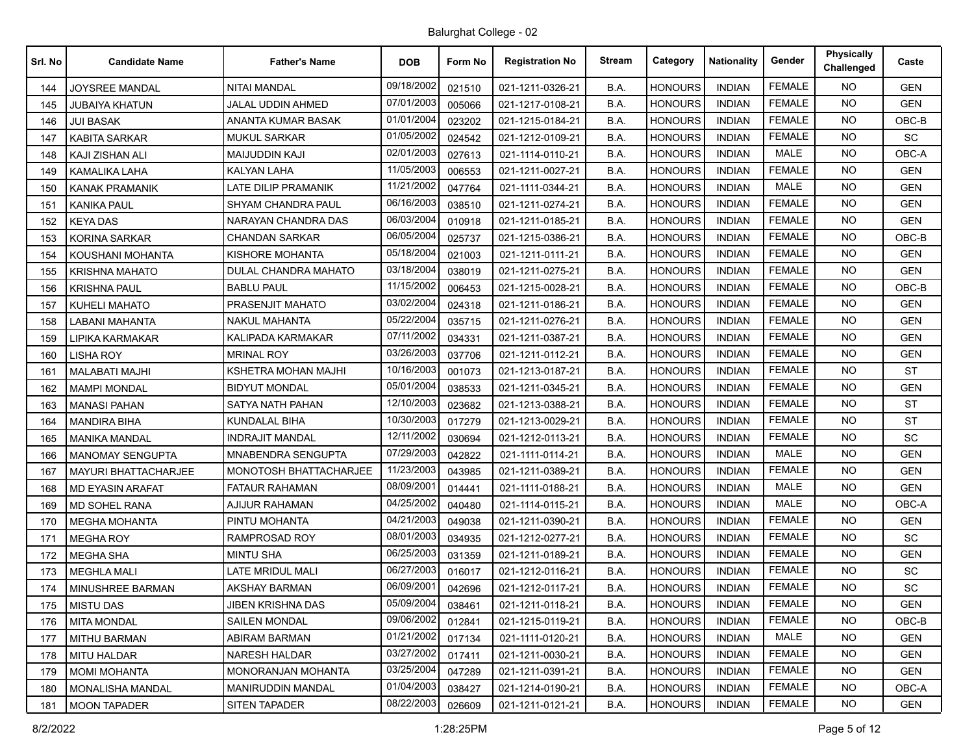| Srl. No | <b>Candidate Name</b>       | <b>Father's Name</b>          | <b>DOB</b>              | Form No | <b>Registration No</b> | <b>Stream</b> | Category       | <b>Nationality</b> | Gender        | <b>Physically</b><br>Challenged | Caste      |
|---------|-----------------------------|-------------------------------|-------------------------|---------|------------------------|---------------|----------------|--------------------|---------------|---------------------------------|------------|
| 144     | JOYSREE MANDAL              | <b>NITAI MANDAL</b>           | 09/18/2002              | 021510  | 021-1211-0326-21       | B.A.          | <b>HONOURS</b> | <b>INDIAN</b>      | <b>FEMALE</b> | NO.                             | <b>GEN</b> |
| 145     | JUBAIYA KHATUN              | JALAL UDDIN AHMED             | 07/01/2003              | 005066  | 021-1217-0108-21       | B.A.          | <b>HONOURS</b> | <b>INDIAN</b>      | <b>FEMALE</b> | <b>NO</b>                       | <b>GEN</b> |
| 146     | <b>JUI BASAK</b>            | ANANTA KUMAR BASAK            | 01/01/2004              | 023202  | 021-1215-0184-21       | B.A.          | <b>HONOURS</b> | <b>INDIAN</b>      | <b>FEMALE</b> | NO.                             | OBC-B      |
| 147     | <b>KABITA SARKAR</b>        | <b>MUKUL SARKAR</b>           | 01/05/2002              | 024542  | 021-1212-0109-21       | B.A.          | <b>HONOURS</b> | <b>INDIAN</b>      | <b>FEMALE</b> | <b>NO</b>                       | <b>SC</b>  |
| 148     | KAJI ZISHAN ALI             | <b>MAIJUDDIN KAJI</b>         | 02/01/2003              | 027613  | 021-1114-0110-21       | B.A.          | <b>HONOURS</b> | <b>INDIAN</b>      | <b>MALE</b>   | NO.                             | OBC-A      |
| 149     | <b>KAMALIKA LAHA</b>        | KALYAN LAHA                   | 11/05/2003              | 006553  | 021-1211-0027-21       | B.A.          | <b>HONOURS</b> | <b>INDIAN</b>      | <b>FEMALE</b> | NO.                             | <b>GEN</b> |
| 150     | <b>KANAK PRAMANIK</b>       | <b>LATE DILIP PRAMANIK</b>    | 11/21/2002              | 047764  | 021-1111-0344-21       | B.A.          | <b>HONOURS</b> | <b>INDIAN</b>      | <b>MALE</b>   | NO.                             | <b>GEN</b> |
| 151     | <b>KANIKA PAUL</b>          | <b>SHYAM CHANDRA PAUL</b>     | 06/16/2003              | 038510  | 021-1211-0274-21       | B.A.          | <b>HONOURS</b> | <b>INDIAN</b>      | <b>FEMALE</b> | NO.                             | <b>GEN</b> |
| 152     | <b>KEYA DAS</b>             | NARAYAN CHANDRA DAS           | 06/03/2004              | 010918  | 021-1211-0185-21       | B.A.          | <b>HONOURS</b> | <b>INDIAN</b>      | <b>FEMALE</b> | NO.                             | <b>GEN</b> |
| 153     | <b>KORINA SARKAR</b>        | CHANDAN SARKAR                | 06/05/2004              | 025737  | 021-1215-0386-21       | B.A.          | HONOURS        | <b>INDIAN</b>      | <b>FEMALE</b> | NO.                             | OBC-B      |
| 154     | KOUSHANI MOHANTA            | KISHORE MOHANTA               | 05/18/2004              | 021003  | 021-1211-0111-21       | B.A.          | <b>HONOURS</b> | <b>INDIAN</b>      | <b>FEMALE</b> | NO.                             | <b>GEN</b> |
| 155     | <b>KRISHNA MAHATO</b>       | DULAL CHANDRA MAHATO          | 03/18/2004              | 038019  | 021-1211-0275-21       | B.A.          | <b>HONOURS</b> | <b>INDIAN</b>      | <b>FEMALE</b> | <b>NO</b>                       | <b>GEN</b> |
| 156     | <b>KRISHNA PAUL</b>         | <b>BABLU PAUL</b>             | 11/15/2002              | 006453  | 021-1215-0028-21       | B.A.          | <b>HONOURS</b> | <b>INDIAN</b>      | <b>FEMALE</b> | NO.                             | OBC-B      |
| 157     | <b>KUHELI MAHATO</b>        | PRASENJIT MAHATO              | 03/02/2004              | 024318  | 021-1211-0186-21       | B.A.          | <b>HONOURS</b> | <b>INDIAN</b>      | <b>FEMALE</b> | <b>NO</b>                       | <b>GEN</b> |
| 158     | LABANI MAHANTA              | <b>NAKUL MAHANTA</b>          | 05/22/2004              | 035715  | 021-1211-0276-21       | B.A.          | <b>HONOURS</b> | <b>INDIAN</b>      | <b>FEMALE</b> | <b>NO</b>                       | <b>GEN</b> |
| 159     | LIPIKA KARMAKAR             | KALIPADA KARMAKAR             | 07/11/2002              | 034331  | 021-1211-0387-21       | B.A.          | <b>HONOURS</b> | <b>INDIAN</b>      | <b>FEMALE</b> | <b>NO</b>                       | <b>GEN</b> |
| 160     | LISHA ROY                   | <b>MRINAL ROY</b>             | 03/26/2003              | 037706  | 021-1211-0112-21       | B.A.          | <b>HONOURS</b> | <b>INDIAN</b>      | <b>FEMALE</b> | NO.                             | <b>GEN</b> |
| 161     | <b>MALABATI MAJHI</b>       | KSHETRA MOHAN MAJHI           | 10/16/2003              | 001073  | 021-1213-0187-21       | B.A.          | <b>HONOURS</b> | <b>INDIAN</b>      | <b>FEMALE</b> | <b>NO</b>                       | ST         |
| 162     | <b>MAMPI MONDAL</b>         | <b>BIDYUT MONDAL</b>          | 05/01/2004              | 038533  | 021-1211-0345-21       | B.A.          | <b>HONOURS</b> | <b>INDIAN</b>      | <b>FEMALE</b> | <b>NO</b>                       | <b>GEN</b> |
| 163     | <b>MANASI PAHAN</b>         | SATYA NATH PAHAN              | 12/10/2003              | 023682  | 021-1213-0388-21       | B.A.          | <b>HONOURS</b> | <b>INDIAN</b>      | <b>FEMALE</b> | NO.                             | <b>ST</b>  |
| 164     | <b>MANDIRA BIHA</b>         | <b>KUNDALAL BIHA</b>          | 10/30/2003              | 017279  | 021-1213-0029-21       | B.A.          | <b>HONOURS</b> | <b>INDIAN</b>      | <b>FEMALE</b> | NO.                             | <b>ST</b>  |
| 165     | <b>MANIKA MANDAL</b>        | <b>INDRAJIT MANDAL</b>        | 12/11/2002              | 030694  | 021-1212-0113-21       | B.A.          | <b>HONOURS</b> | <b>INDIAN</b>      | <b>FEMALE</b> | NO.                             | SC         |
| 166     | <b>MANOMAY SENGUPTA</b>     | MNABENDRA SENGUPTA            | 07/29/2003              | 042822  | 021-1111-0114-21       | B.A.          | <b>HONOURS</b> | <b>INDIAN</b>      | <b>MALE</b>   | <b>NO</b>                       | <b>GEN</b> |
| 167     | <b>MAYURI BHATTACHARJEE</b> | <b>MONOTOSH BHATTACHARJEE</b> | 11/23/2003              | 043985  | 021-1211-0389-21       | B.A.          | <b>HONOURS</b> | <b>INDIAN</b>      | <b>FEMALE</b> | NO.                             | <b>GEN</b> |
| 168     | <b>MD EYASIN ARAFAT</b>     | FATAUR RAHAMAN                | 08/09/2001              | 014441  | 021-1111-0188-21       | B.A.          | <b>HONOURS</b> | <b>INDIAN</b>      | <b>MALE</b>   | <b>NO</b>                       | <b>GEN</b> |
| 169     | <b>MD SOHEL RANA</b>        | AJIJUR RAHAMAN                | 04/25/2002              | 040480  | 021-1114-0115-21       | B.A.          | <b>HONOURS</b> | <b>INDIAN</b>      | <b>MALE</b>   | NO.                             | OBC-A      |
| 170     | <b>MEGHA MOHANTA</b>        | PINTU MOHANTA                 | 04/21/2003              | 049038  | 021-1211-0390-21       | B.A.          | <b>HONOURS</b> | <b>INDIAN</b>      | <b>FEMALE</b> | <b>NO</b>                       | <b>GEN</b> |
| 171     | <b>MEGHA ROY</b>            | <b>RAMPROSAD ROY</b>          | 08/01/2003              | 034935  | 021-1212-0277-21       | B.A.          | <b>HONOURS</b> | <b>INDIAN</b>      | <b>FEMALE</b> | NO.                             | <b>SC</b>  |
| 172     | <b>MEGHA SHA</b>            | <b>MINTU SHA</b>              | 06/25/2003              | 031359  | 021-1211-0189-21       | B.A.          | <b>HONOURS</b> | <b>INDIAN</b>      | <b>FEMALE</b> | <b>NO</b>                       | <b>GEN</b> |
| 173     | <b>MEGHLA MALI</b>          | <b>LATE MRIDUL MALI</b>       | 06/27/2003              | 016017  | 021-1212-0116-21       | B.A.          | <b>HONOURS</b> | <b>INDIAN</b>      | <b>FEMALE</b> | <b>NO</b>                       | <b>SC</b>  |
| 174     | MINUSHREE BARMAN            | AKSHAY BARMAN                 | 06/09/2001              | 042696  | 021-1212-0117-21       | B.A.          | <b>HONOURS</b> | <b>INDIAN</b>      | <b>FEMALE</b> | <b>NO</b>                       | SC         |
| 175     | <b>MISTU DAS</b>            | JIBEN KRISHNA DAS             | 05/09/2004              | 038461  | 021-1211-0118-21       | B.A.          | <b>HONOURS</b> | <b>INDIAN</b>      | <b>FEMALE</b> | <b>NO</b>                       | <b>GEN</b> |
| 176     | <b>MITA MONDAL</b>          | SAILEN MONDAL                 | 09/06/2002              | 012841  | 021-1215-0119-21       | B.A.          | <b>HONOURS</b> | <b>INDIAN</b>      | <b>FEMALE</b> | <b>NO</b>                       | OBC-B      |
| 177     | <b>MITHU BARMAN</b>         | <b>ABIRAM BARMAN</b>          | $\overline{01}/21/2002$ | 017134  | 021-1111-0120-21       | B.A.          | <b>HONOURS</b> | <b>INDIAN</b>      | MALE          | <b>NO</b>                       | <b>GEN</b> |
| 178     | <b>MITU HALDAR</b>          | <b>NARESH HALDAR</b>          | 03/27/2002              | 017411  | 021-1211-0030-21       | B.A.          | <b>HONOURS</b> | <b>INDIAN</b>      | <b>FEMALE</b> | <b>NO</b>                       | <b>GEN</b> |
| 179     | <b>MOMI MOHANTA</b>         | <b>MONORANJAN MOHANTA</b>     | 03/25/2004              | 047289  | 021-1211-0391-21       | B.A.          | <b>HONOURS</b> | <b>INDIAN</b>      | <b>FEMALE</b> | NO.                             | <b>GEN</b> |
| 180     | <b>MONALISHA MANDAL</b>     | MANIRUDDIN MANDAL             | 01/04/2003              | 038427  | 021-1214-0190-21       | B.A.          | <b>HONOURS</b> | <b>INDIAN</b>      | <b>FEMALE</b> | NO.                             | OBC-A      |
| 181     | <b>MOON TAPADER</b>         | <b>SITEN TAPADER</b>          | 08/22/2003              | 026609  | 021-1211-0121-21       | B.A.          | <b>HONOURS</b> | <b>INDIAN</b>      | <b>FEMALE</b> | <b>NO</b>                       | GEN        |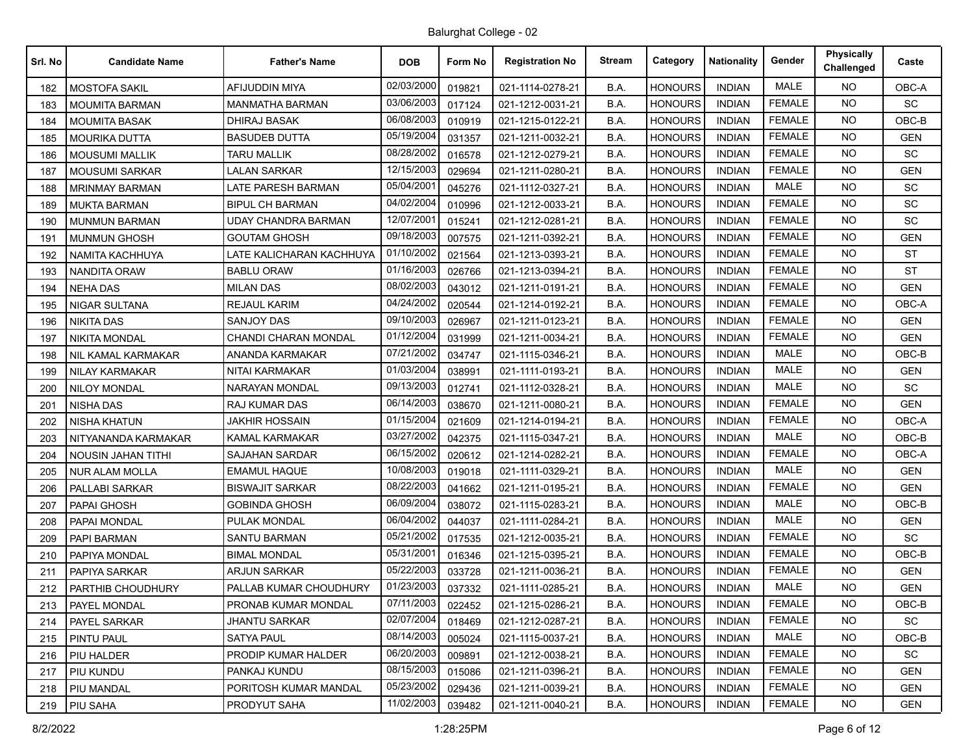| Srl. No | <b>Candidate Name</b>     | <b>Father's Name</b>        | <b>DOB</b> | Form No | <b>Registration No</b> | <b>Stream</b> | Category       | <b>Nationality</b> | Gender        | <b>Physically</b><br>Challenged | Caste      |
|---------|---------------------------|-----------------------------|------------|---------|------------------------|---------------|----------------|--------------------|---------------|---------------------------------|------------|
| 182     | <b>MOSTOFA SAKIL</b>      | AFIJUDDIN MIYA              | 02/03/2000 | 019821  | 021-1114-0278-21       | B.A.          | <b>HONOURS</b> | <b>INDIAN</b>      | <b>MALE</b>   | NO.                             | OBC-A      |
| 183     | <b>MOUMITA BARMAN</b>     | MANMATHA BARMAN             | 03/06/2003 | 017124  | 021-1212-0031-21       | B.A.          | <b>HONOURS</b> | <b>INDIAN</b>      | <b>FEMALE</b> | NO.                             | SC         |
| 184     | <b>MOUMITA BASAK</b>      | <b>DHIRAJ BASAK</b>         | 06/08/2003 | 010919  | 021-1215-0122-21       | B.A.          | <b>HONOURS</b> | <b>INDIAN</b>      | <b>FEMALE</b> | <b>NO</b>                       | OBC-B      |
| 185     | <b>MOURIKA DUTTA</b>      | <b>BASUDEB DUTTA</b>        | 05/19/2004 | 031357  | 021-1211-0032-21       | B.A.          | <b>HONOURS</b> | <b>INDIAN</b>      | <b>FEMALE</b> | <b>NO</b>                       | <b>GEN</b> |
| 186     | <b>MOUSUMI MALLIK</b>     | <b>TARU MALLIK</b>          | 08/28/2002 | 016578  | 021-1212-0279-21       | B.A.          | <b>HONOURS</b> | <b>INDIAN</b>      | <b>FEMALE</b> | NO.                             | <b>SC</b>  |
| 187     | <b>MOUSUMI SARKAR</b>     | <b>LALAN SARKAR</b>         | 12/15/2003 | 029694  | 021-1211-0280-21       | B.A.          | <b>HONOURS</b> | <b>INDIAN</b>      | <b>FEMALE</b> | <b>NO</b>                       | <b>GEN</b> |
| 188     | <b>MRINMAY BARMAN</b>     | <b>LATE PARESH BARMAN</b>   | 05/04/2001 | 045276  | 021-1112-0327-21       | B.A.          | <b>HONOURS</b> | <b>INDIAN</b>      | <b>MALE</b>   | <b>NO</b>                       | SC         |
| 189     | <b>MUKTA BARMAN</b>       | <b>BIPUL CH BARMAN</b>      | 04/02/2004 | 010996  | 021-1212-0033-21       | B.A.          | <b>HONOURS</b> | <b>INDIAN</b>      | <b>FEMALE</b> | <b>NO</b>                       | SC         |
| 190     | <b>MUNMUN BARMAN</b>      | UDAY CHANDRA BARMAN         | 12/07/2001 | 015241  | 021-1212-0281-21       | B.A.          | <b>HONOURS</b> | <b>INDIAN</b>      | <b>FEMALE</b> | NO.                             | SC         |
| 191     | <b>MUNMUN GHOSH</b>       | <b>GOUTAM GHOSH</b>         | 09/18/2003 | 007575  | 021-1211-0392-21       | B.A.          | <b>HONOURS</b> | <b>INDIAN</b>      | <b>FEMALE</b> | NO.                             | <b>GEN</b> |
| 192     | NAMITA KACHHUYA           | LATE KALICHARAN KACHHUYA    | 01/10/2002 | 021564  | 021-1213-0393-21       | B.A.          | <b>HONOURS</b> | <b>INDIAN</b>      | <b>FEMALE</b> | <b>NO</b>                       | <b>ST</b>  |
| 193     | <b>NANDITA ORAW</b>       | <b>BABLU ORAW</b>           | 01/16/2003 | 026766  | 021-1213-0394-21       | B.A.          | <b>HONOURS</b> | <b>INDIAN</b>      | <b>FEMALE</b> | <b>NO</b>                       | <b>ST</b>  |
| 194     | <b>NEHA DAS</b>           | <b>MILAN DAS</b>            | 08/02/2003 | 043012  | 021-1211-0191-21       | B.A.          | <b>HONOURS</b> | <b>INDIAN</b>      | <b>FEMALE</b> | NO.                             | <b>GEN</b> |
| 195     | NIGAR SULTANA             | <b>REJAUL KARIM</b>         | 04/24/2002 | 020544  | 021-1214-0192-21       | B.A.          | <b>HONOURS</b> | <b>INDIAN</b>      | <b>FEMALE</b> | NO.                             | OBC-A      |
| 196     | <b>NIKITA DAS</b>         | <b>SANJOY DAS</b>           | 09/10/2003 | 026967  | 021-1211-0123-21       | B.A.          | <b>HONOURS</b> | <b>INDIAN</b>      | <b>FEMALE</b> | <b>NO</b>                       | <b>GEN</b> |
| 197     | <b>NIKITA MONDAL</b>      | <b>CHANDI CHARAN MONDAL</b> | 01/12/2004 | 031999  | 021-1211-0034-21       | B.A.          | <b>HONOURS</b> | <b>INDIAN</b>      | <b>FEMALE</b> | <b>NO</b>                       | <b>GEN</b> |
| 198     | NIL KAMAL KARMAKAR        | ANANDA KARMAKAR             | 07/21/2002 | 034747  | 021-1115-0346-21       | B.A.          | <b>HONOURS</b> | <b>INDIAN</b>      | <b>MALE</b>   | <b>NO</b>                       | OBC-B      |
| 199     | <b>NILAY KARMAKAR</b>     | <b>NITAI KARMAKAR</b>       | 01/03/2004 | 038991  | 021-1111-0193-21       | B.A.          | <b>HONOURS</b> | <b>INDIAN</b>      | <b>MALE</b>   | NO.                             | <b>GEN</b> |
| 200     | <b>NILOY MONDAL</b>       | <b>NARAYAN MONDAL</b>       | 09/13/2003 | 012741  | 021-1112-0328-21       | B.A.          | <b>HONOURS</b> | <b>INDIAN</b>      | <b>MALE</b>   | <b>NO</b>                       | SC         |
| 201     | NISHA DAS                 | RAJ KUMAR DAS               | 06/14/2003 | 038670  | 021-1211-0080-21       | B.A.          | <b>HONOURS</b> | <b>INDIAN</b>      | <b>FEMALE</b> | NO.                             | <b>GEN</b> |
| 202     | <b>NISHA KHATUN</b>       | JAKHIR HOSSAIN              | 01/15/2004 | 021609  | 021-1214-0194-21       | B.A.          | <b>HONOURS</b> | <b>INDIAN</b>      | <b>FEMALE</b> | NO.                             | OBC-A      |
| 203     | NITYANANDA KARMAKAR       | <b>KAMAL KARMAKAR</b>       | 03/27/2002 | 042375  | 021-1115-0347-21       | B.A.          | <b>HONOURS</b> | <b>INDIAN</b>      | <b>MALE</b>   | NO.                             | OBC-B      |
| 204     | <b>NOUSIN JAHAN TITHI</b> | SAJAHAN SARDAR              | 06/15/2002 | 020612  | 021-1214-0282-21       | B.A.          | <b>HONOURS</b> | <b>INDIAN</b>      | <b>FEMALE</b> | <b>NO</b>                       | OBC-A      |
| 205     | NUR ALAM MOLLA            | <b>EMAMUL HAQUE</b>         | 10/08/2003 | 019018  | 021-1111-0329-21       | B.A.          | <b>HONOURS</b> | <b>INDIAN</b>      | <b>MALE</b>   | NO.                             | <b>GEN</b> |
| 206     | PALLABI SARKAR            | <b>BISWAJIT SARKAR</b>      | 08/22/2003 | 041662  | 021-1211-0195-21       | B.A.          | <b>HONOURS</b> | <b>INDIAN</b>      | <b>FEMALE</b> | <b>NO</b>                       | <b>GEN</b> |
| 207     | PAPAI GHOSH               | <b>GOBINDA GHOSH</b>        | 06/09/2004 | 038072  | 021-1115-0283-21       | B.A.          | <b>HONOURS</b> | <b>INDIAN</b>      | <b>MALE</b>   | <b>NO</b>                       | OBC-B      |
| 208     | PAPAI MONDAL              | PULAK MONDAL                | 06/04/2002 | 044037  | 021-1111-0284-21       | B.A.          | <b>HONOURS</b> | <b>INDIAN</b>      | <b>MALE</b>   | <b>NO</b>                       | <b>GEN</b> |
| 209     | PAPI BARMAN               | <b>SANTU BARMAN</b>         | 05/21/2002 | 017535  | 021-1212-0035-21       | B.A.          | <b>HONOURS</b> | <b>INDIAN</b>      | <b>FEMALE</b> | NO.                             | SC         |
| 210     | PAPIYA MONDAL             | <b>BIMAL MONDAL</b>         | 05/31/2001 | 016346  | 021-1215-0395-21       | B.A.          | <b>HONOURS</b> | <b>INDIAN</b>      | <b>FEMALE</b> | <b>NO</b>                       | OBC-B      |
| 211     | PAPIYA SARKAR             | <b>ARJUN SARKAR</b>         | 05/22/2003 | 033728  | 021-1211-0036-21       | B.A.          | <b>HONOURS</b> | <b>INDIAN</b>      | <b>FEMALE</b> | NO.                             | <b>GEN</b> |
| 212     | PARTHIB CHOUDHURY         | PALLAB KUMAR CHOUDHURY      | 01/23/2003 | 037332  | 021-1111-0285-21       | B.A.          | <b>HONOURS</b> | <b>INDIAN</b>      | <b>MALE</b>   | NO.                             | <b>GEN</b> |
| 213     | <b>PAYEL MONDAL</b>       | PRONAB KUMAR MONDAL         | 07/11/2003 | 022452  | 021-1215-0286-21       | B.A.          | <b>HONOURS</b> | <b>INDIAN</b>      | <b>FEMALE</b> | NO.                             | OBC-B      |
| 214     | <b>PAYEL SARKAR</b>       | JHANTU SARKAR               | 02/07/2004 | 018469  | 021-1212-0287-21       | B.A.          | <b>HONOURS</b> | <b>INDIAN</b>      | <b>FEMALE</b> | <b>NO</b>                       | SC         |
| 215     | <b>PINTU PAUL</b>         | <b>SATYA PAUL</b>           | 08/14/2003 | 005024  | 021-1115-0037-21       | B.A.          | <b>HONOURS</b> | <b>INDIAN</b>      | MALE          | NO.                             | OBC-B      |
| 216     | PIU HALDER                | PRODIP KUMAR HALDER         | 06/20/2003 | 009891  | 021-1212-0038-21       | B.A.          | <b>HONOURS</b> | <b>INDIAN</b>      | <b>FEMALE</b> | NO.                             | SC         |
| 217     | PIU KUNDU                 | PANKAJ KUNDU                | 08/15/2003 | 015086  | 021-1211-0396-21       | B.A.          | <b>HONOURS</b> | <b>INDIAN</b>      | <b>FEMALE</b> | NO.                             | <b>GEN</b> |
| 218     | PIU MANDAL                | PORITOSH KUMAR MANDAL       | 05/23/2002 | 029436  | 021-1211-0039-21       | B.A.          | <b>HONOURS</b> | <b>INDIAN</b>      | <b>FEMALE</b> | <b>NO</b>                       | <b>GEN</b> |
| 219     | PIU SAHA                  | PRODYUT SAHA                | 11/02/2003 | 039482  | 021-1211-0040-21       | B.A.          | <b>HONOURS</b> | <b>INDIAN</b>      | <b>FEMALE</b> | NO.                             | GEN        |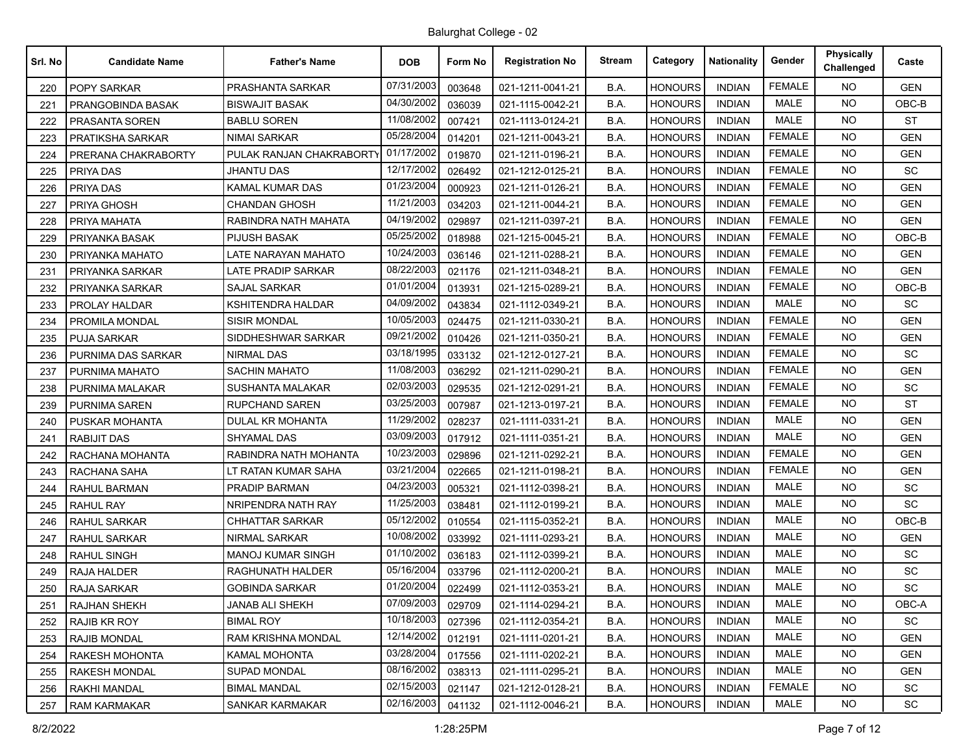| Srl. No | <b>Candidate Name</b> | <b>Father's Name</b>      | <b>DOB</b> | Form No | <b>Registration No</b> | <b>Stream</b> | Category       | <b>Nationality</b> | Gender        | <b>Physically</b><br>Challenged | Caste      |
|---------|-----------------------|---------------------------|------------|---------|------------------------|---------------|----------------|--------------------|---------------|---------------------------------|------------|
| 220     | <b>POPY SARKAR</b>    | PRASHANTA SARKAR          | 07/31/2003 | 003648  | 021-1211-0041-21       | B.A.          | <b>HONOURS</b> | <b>INDIAN</b>      | <b>FEMALE</b> | <b>NO</b>                       | <b>GEN</b> |
| 221     | PRANGOBINDA BASAK     | <b>BISWAJIT BASAK</b>     | 04/30/2002 | 036039  | 021-1115-0042-21       | B.A.          | <b>HONOURS</b> | <b>INDIAN</b>      | <b>MALE</b>   | <b>NO</b>                       | OBC-B      |
| 222     | PRASANTA SOREN        | <b>BABLU SOREN</b>        | 11/08/2002 | 007421  | 021-1113-0124-21       | B.A.          | <b>HONOURS</b> | <b>INDIAN</b>      | <b>MALE</b>   | <b>NO</b>                       | <b>ST</b>  |
| 223     | PRATIKSHA SARKAR      | <b>NIMAI SARKAR</b>       | 05/28/2004 | 014201  | 021-1211-0043-21       | B.A.          | <b>HONOURS</b> | <b>INDIAN</b>      | <b>FEMALE</b> | <b>NO</b>                       | <b>GEN</b> |
| 224     | PRERANA CHAKRABORTY   | PULAK RANJAN CHAKRABORTY  | 01/17/2002 | 019870  | 021-1211-0196-21       | B.A.          | <b>HONOURS</b> | <b>INDIAN</b>      | <b>FEMALE</b> | NO.                             | <b>GEN</b> |
| 225     | PRIYA DAS             | JHANTU DAS                | 12/17/2002 | 026492  | 021-1212-0125-21       | B.A.          | <b>HONOURS</b> | <b>INDIAN</b>      | <b>FEMALE</b> | <b>NO</b>                       | SC         |
| 226     | PRIYA DAS             | <b>KAMAL KUMAR DAS</b>    | 01/23/2004 | 000923  | 021-1211-0126-21       | B.A.          | <b>HONOURS</b> | <b>INDIAN</b>      | <b>FEMALE</b> | <b>NO</b>                       | <b>GEN</b> |
| 227     | PRIYA GHOSH           | <b>CHANDAN GHOSH</b>      | 11/21/2003 | 034203  | 021-1211-0044-21       | B.A.          | <b>HONOURS</b> | <b>INDIAN</b>      | <b>FEMALE</b> | <b>NO</b>                       | <b>GEN</b> |
| 228     | PRIYA MAHATA          | RABINDRA NATH MAHATA      | 04/19/2002 | 029897  | 021-1211-0397-21       | B.A.          | <b>HONOURS</b> | <b>INDIAN</b>      | <b>FEMALE</b> | NO.                             | <b>GEN</b> |
| 229     | PRIYANKA BASAK        | PIJUSH BASAK              | 05/25/2002 | 018988  | 021-1215-0045-21       | B.A.          | <b>HONOURS</b> | <b>INDIAN</b>      | <b>FEMALE</b> | <b>NO</b>                       | OBC-B      |
| 230     | PRIYANKA MAHATO       | LATE NARAYAN MAHATO       | 10/24/2003 | 036146  | 021-1211-0288-21       | B.A.          | <b>HONOURS</b> | <b>INDIAN</b>      | <b>FEMALE</b> | <b>NO</b>                       | <b>GEN</b> |
| 231     | PRIYANKA SARKAR       | <b>LATE PRADIP SARKAR</b> | 08/22/2003 | 021176  | 021-1211-0348-21       | B.A.          | <b>HONOURS</b> | <b>INDIAN</b>      | <b>FEMALE</b> | <b>NO</b>                       | <b>GEN</b> |
| 232     | PRIYANKA SARKAR       | <b>SAJAL SARKAR</b>       | 01/01/2004 | 013931  | 021-1215-0289-21       | B.A.          | <b>HONOURS</b> | <b>INDIAN</b>      | <b>FEMALE</b> | NO.                             | $OBC-B$    |
| 233     | PROLAY HALDAR         | KSHITENDRA HALDAR         | 04/09/2002 | 043834  | 021-1112-0349-21       | B.A.          | <b>HONOURS</b> | <b>INDIAN</b>      | <b>MALE</b>   | <b>NO</b>                       | <b>SC</b>  |
| 234     | PROMILA MONDAL        | <b>SISIR MONDAL</b>       | 10/05/2003 | 024475  | 021-1211-0330-21       | B.A.          | <b>HONOURS</b> | <b>INDIAN</b>      | <b>FEMALE</b> | <b>NO</b>                       | <b>GEN</b> |
| 235     | <b>PUJA SARKAR</b>    | SIDDHESHWAR SARKAR        | 09/21/2002 | 010426  | 021-1211-0350-21       | B.A.          | <b>HONOURS</b> | <b>INDIAN</b>      | <b>FEMALE</b> | NO.                             | <b>GEN</b> |
| 236     | PURNIMA DAS SARKAR    | NIRMAL DAS                | 03/18/1995 | 033132  | 021-1212-0127-21       | B.A.          | <b>HONOURS</b> | <b>INDIAN</b>      | <b>FEMALE</b> | NO.                             | SC         |
| 237     | PURNIMA MAHATO        | <b>SACHIN MAHATO</b>      | 11/08/2003 | 036292  | 021-1211-0290-21       | B.A.          | HONOURS        | <b>INDIAN</b>      | <b>FEMALE</b> | <b>NO</b>                       | <b>GEN</b> |
| 238     | PURNIMA MALAKAR       | SUSHANTA MALAKAR          | 02/03/2003 | 029535  | 021-1212-0291-21       | B.A.          | <b>HONOURS</b> | <b>INDIAN</b>      | <b>FEMALE</b> | <b>NO</b>                       | SC         |
| 239     | PURNIMA SAREN         | RUPCHAND SAREN            | 03/25/2003 | 007987  | 021-1213-0197-21       | B.A.          | <b>HONOURS</b> | <b>INDIAN</b>      | <b>FEMALE</b> | <b>NO</b>                       | <b>ST</b>  |
| 240     | PUSKAR MOHANTA        | DULAL KR MOHANTA          | 11/29/2002 | 028237  | 021-1111-0331-21       | B.A.          | <b>HONOURS</b> | <b>INDIAN</b>      | <b>MALE</b>   | NO.                             | <b>GEN</b> |
| 241     | <b>RABIJIT DAS</b>    | SHYAMAL DAS               | 03/09/2003 | 017912  | 021-1111-0351-21       | B.A.          | <b>HONOURS</b> | <b>INDIAN</b>      | MALE          | <b>NO</b>                       | <b>GEN</b> |
| 242     | RACHANA MOHANTA       | RABINDRA NATH MOHANTA     | 10/23/2003 | 029896  | 021-1211-0292-21       | B.A.          | <b>HONOURS</b> | <b>INDIAN</b>      | <b>FEMALE</b> | <b>NO</b>                       | <b>GEN</b> |
| 243     | RACHANA SAHA          | LT RATAN KUMAR SAHA       | 03/21/2004 | 022665  | 021-1211-0198-21       | B.A.          | <b>HONOURS</b> | <b>INDIAN</b>      | <b>FEMALE</b> | <b>NO</b>                       | <b>GEN</b> |
| 244     | RAHUL BARMAN          | PRADIP BARMAN             | 04/23/2003 | 005321  | 021-1112-0398-21       | B.A.          | <b>HONOURS</b> | <b>INDIAN</b>      | <b>MALE</b>   | NO.                             | SC         |
| 245     | <b>RAHUL RAY</b>      | NRIPENDRA NATH RAY        | 11/25/2003 | 038481  | 021-1112-0199-21       | B.A.          | <b>HONOURS</b> | <b>INDIAN</b>      | <b>MALE</b>   | <b>NO</b>                       | SC         |
| 246     | RAHUL SARKAR          | <b>CHHATTAR SARKAR</b>    | 05/12/2002 | 010554  | 021-1115-0352-21       | B.A.          | <b>HONOURS</b> | <b>INDIAN</b>      | <b>MALE</b>   | <b>NO</b>                       | OBC-B      |
| 247     | RAHUL SARKAR          | <b>NIRMAL SARKAR</b>      | 10/08/2002 | 033992  | 021-1111-0293-21       | B.A.          | <b>HONOURS</b> | <b>INDIAN</b>      | <b>MALE</b>   | NO.                             | <b>GEN</b> |
| 248     | RAHUL SINGH           | MANOJ KUMAR SINGH         | 01/10/2002 | 036183  | 021-1112-0399-21       | B.A.          | <b>HONOURS</b> | <b>INDIAN</b>      | <b>MALE</b>   | <b>NO</b>                       | <b>SC</b>  |
| 249     | RAJA HALDER           | RAGHUNATH HALDER          | 05/16/2004 | 033796  | 021-1112-0200-21       | B.A.          | <b>HONOURS</b> | <b>INDIAN</b>      | <b>MALE</b>   | <b>NO</b>                       | SC         |
| 250     | RAJA SARKAR           | <b>GOBINDA SARKAR</b>     | 01/20/2004 | 022499  | 021-1112-0353-21       | B.A.          | <b>HONOURS</b> | <b>INDIAN</b>      | <b>MALE</b>   | <b>NO</b>                       | SC         |
| 251     | RAJHAN SHEKH          | <b>JANAB ALI SHEKH</b>    | 07/09/2003 | 029709  | 021-1114-0294-21       | B.A.          | <b>HONOURS</b> | <b>INDIAN</b>      | MALE          | NO.                             | OBC-A      |
| 252     | RAJIB KR ROY          | <b>BIMAL ROY</b>          | 10/18/2003 | 027396  | 021-1112-0354-21       | B.A.          | <b>HONOURS</b> | <b>INDIAN</b>      | MALE          | <b>NO</b>                       | SC         |
| 253     | <b>RAJIB MONDAL</b>   | RAM KRISHNA MONDAL        | 12/14/2002 | 012191  | 021-1111-0201-21       | B.A.          | <b>HONOURS</b> | <b>INDIAN</b>      | MALE          | <b>NO</b>                       | <b>GEN</b> |
| 254     | RAKESH MOHONTA        | <b>KAMAL MOHONTA</b>      | 03/28/2004 | 017556  | 021-1111-0202-21       | B.A.          | <b>HONOURS</b> | <b>INDIAN</b>      | MALE          | <b>NO</b>                       | <b>GEN</b> |
| 255     | RAKESH MONDAL         | <b>SUPAD MONDAL</b>       | 08/16/2002 | 038313  | 021-1111-0295-21       | B.A.          | <b>HONOURS</b> | <b>INDIAN</b>      | MALE          | NO.                             | <b>GEN</b> |
| 256     | RAKHI MANDAL          | <b>BIMAL MANDAL</b>       | 02/15/2003 | 021147  | 021-1212-0128-21       | B.A.          | <b>HONOURS</b> | <b>INDIAN</b>      | <b>FEMALE</b> | <b>NO</b>                       | SC         |
| 257     | <b>RAM KARMAKAR</b>   | SANKAR KARMAKAR           | 02/16/2003 | 041132  | 021-1112-0046-21       | B.A.          | <b>HONOURS</b> | <b>INDIAN</b>      | MALE          | <b>NO</b>                       | SC         |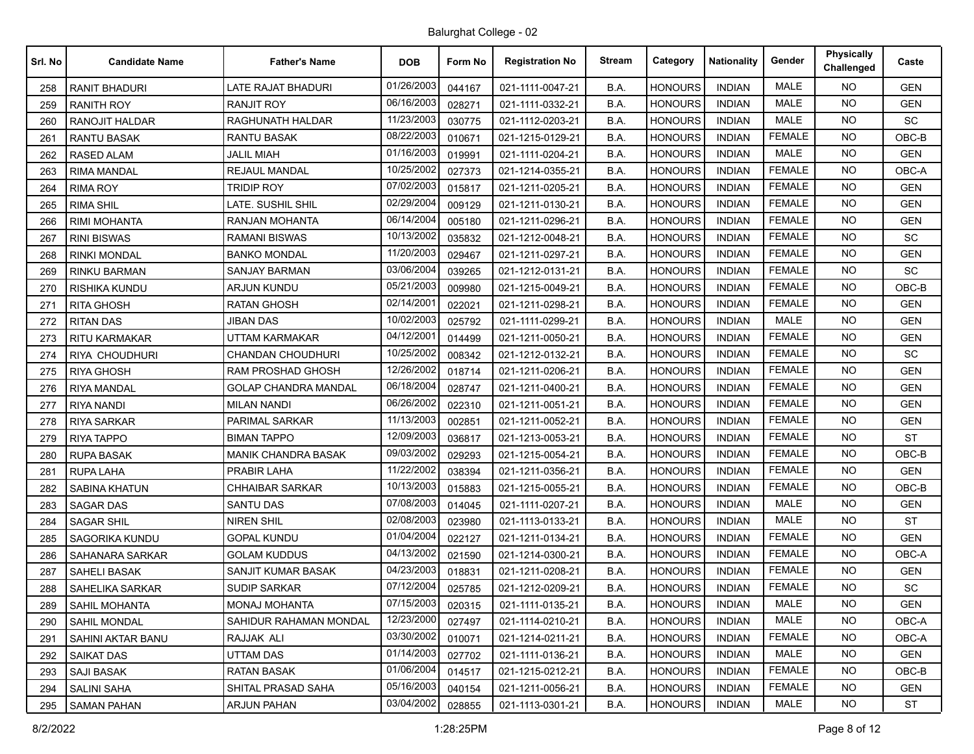| Srl. No | <b>Candidate Name</b>    | <b>Father's Name</b>        | <b>DOB</b> | Form No | <b>Registration No</b> | <b>Stream</b> | Category       | <b>Nationality</b> | Gender        | Physically<br>Challenged | Caste      |
|---------|--------------------------|-----------------------------|------------|---------|------------------------|---------------|----------------|--------------------|---------------|--------------------------|------------|
| 258     | <b>RANIT BHADURI</b>     | LATE RAJAT BHADURI          | 01/26/2003 | 044167  | 021-1111-0047-21       | B.A.          | <b>HONOURS</b> | <b>INDIAN</b>      | <b>MALE</b>   | <b>NO</b>                | <b>GEN</b> |
| 259     | <b>RANITH ROY</b>        | <b>RANJIT ROY</b>           | 06/16/2003 | 028271  | 021-1111-0332-21       | B.A.          | <b>HONOURS</b> | <b>INDIAN</b>      | <b>MALE</b>   | <b>NO</b>                | <b>GEN</b> |
| 260     | <b>RANOJIT HALDAR</b>    | RAGHUNATH HALDAR            | 11/23/2003 | 030775  | 021-1112-0203-21       | B.A.          | <b>HONOURS</b> | <b>INDIAN</b>      | <b>MALE</b>   | <b>NO</b>                | SC         |
| 261     | <b>RANTU BASAK</b>       | <b>RANTU BASAK</b>          | 08/22/2003 | 010671  | 021-1215-0129-21       | B.A.          | <b>HONOURS</b> | <b>INDIAN</b>      | <b>FEMALE</b> | <b>NO</b>                | OBC-B      |
| 262     | <b>RASED ALAM</b>        | <b>JALIL MIAH</b>           | 01/16/2003 | 019991  | 021-1111-0204-21       | B.A.          | <b>HONOURS</b> | <b>INDIAN</b>      | <b>MALE</b>   | <b>NO</b>                | <b>GEN</b> |
| 263     | <b>RIMA MANDAL</b>       | <b>REJAUL MANDAL</b>        | 10/25/2002 | 027373  | 021-1214-0355-21       | B.A.          | <b>HONOURS</b> | <b>INDIAN</b>      | <b>FEMALE</b> | <b>NO</b>                | OBC-A      |
| 264     | <b>RIMA ROY</b>          | <b>TRIDIP ROY</b>           | 07/02/2003 | 015817  | 021-1211-0205-21       | B.A.          | <b>HONOURS</b> | <b>INDIAN</b>      | <b>FEMALE</b> | <b>NO</b>                | <b>GEN</b> |
| 265     | <b>RIMA SHIL</b>         | LATE. SUSHIL SHIL           | 02/29/2004 | 009129  | 021-1211-0130-21       | B.A.          | <b>HONOURS</b> | <b>INDIAN</b>      | <b>FEMALE</b> | <b>NO</b>                | <b>GEN</b> |
| 266     | <b>RIMI MOHANTA</b>      | RANJAN MOHANTA              | 06/14/2004 | 005180  | 021-1211-0296-21       | B.A.          | <b>HONOURS</b> | <b>INDIAN</b>      | <b>FEMALE</b> | <b>NO</b>                | <b>GEN</b> |
| 267     | <b>RINI BISWAS</b>       | <b>RAMANI BISWAS</b>        | 10/13/2002 | 035832  | 021-1212-0048-21       | B.A.          | <b>HONOURS</b> | <b>INDIAN</b>      | <b>FEMALE</b> | <b>NO</b>                | SC         |
| 268     | <b>RINKI MONDAL</b>      | <b>BANKO MONDAL</b>         | 11/20/2003 | 029467  | 021-1211-0297-21       | B.A.          | <b>HONOURS</b> | <b>INDIAN</b>      | <b>FEMALE</b> | <b>NO</b>                | <b>GEN</b> |
| 269     | <b>RINKU BARMAN</b>      | <b>SANJAY BARMAN</b>        | 03/06/2004 | 039265  | 021-1212-0131-21       | B.A.          | <b>HONOURS</b> | <b>INDIAN</b>      | <b>FEMALE</b> | <b>NO</b>                | SC         |
| 270     | RISHIKA KUNDU            | <b>ARJUN KUNDU</b>          | 05/21/2003 | 009980  | 021-1215-0049-21       | B.A.          | <b>HONOURS</b> | <b>INDIAN</b>      | <b>FEMALE</b> | <b>NO</b>                | OBC-B      |
| 271     | <b>RITA GHOSH</b>        | <b>RATAN GHOSH</b>          | 02/14/2001 | 022021  | 021-1211-0298-21       | B.A.          | <b>HONOURS</b> | <b>INDIAN</b>      | <b>FEMALE</b> | <b>NO</b>                | <b>GEN</b> |
| 272     | <b>RITAN DAS</b>         | <b>JIBAN DAS</b>            | 10/02/2003 | 025792  | 021-1111-0299-21       | B.A.          | <b>HONOURS</b> | <b>INDIAN</b>      | <b>MALE</b>   | <b>NO</b>                | <b>GEN</b> |
| 273     | <b>RITU KARMAKAR</b>     | <b>UTTAM KARMAKAR</b>       | 04/12/200  | 014499  | 021-1211-0050-21       | B.A.          | <b>HONOURS</b> | <b>INDIAN</b>      | <b>FEMALE</b> | <b>NO</b>                | <b>GEN</b> |
| 274     | <b>RIYA CHOUDHURI</b>    | <b>CHANDAN CHOUDHURI</b>    | 10/25/2002 | 008342  | 021-1212-0132-21       | B.A.          | <b>HONOURS</b> | <b>INDIAN</b>      | <b>FEMALE</b> | <b>NO</b>                | SC         |
| 275     | <b>RIYA GHOSH</b>        | RAM PROSHAD GHOSH           | 12/26/2002 | 018714  | 021-1211-0206-21       | B.A.          | <b>HONOURS</b> | <b>INDIAN</b>      | <b>FEMALE</b> | <b>NO</b>                | <b>GEN</b> |
| 276     | <b>RIYA MANDAL</b>       | <b>GOLAP CHANDRA MANDAL</b> | 06/18/2004 | 028747  | 021-1211-0400-21       | B.A.          | <b>HONOURS</b> | <b>INDIAN</b>      | <b>FEMALE</b> | <b>NO</b>                | <b>GEN</b> |
| 277     | <b>RIYA NANDI</b>        | <b>MILAN NANDI</b>          | 06/26/2002 | 022310  | 021-1211-0051-21       | B.A.          | <b>HONOURS</b> | <b>INDIAN</b>      | <b>FEMALE</b> | <b>NO</b>                | <b>GEN</b> |
| 278     | <b>RIYA SARKAR</b>       | PARIMAL SARKAR              | 11/13/2003 | 002851  | 021-1211-0052-21       | B.A.          | <b>HONOURS</b> | <b>INDIAN</b>      | <b>FEMALE</b> | <b>NO</b>                | <b>GEN</b> |
| 279     | <b>RIYA TAPPO</b>        | <b>BIMAN TAPPO</b>          | 12/09/2003 | 036817  | 021-1213-0053-21       | B.A.          | <b>HONOURS</b> | <b>INDIAN</b>      | <b>FEMALE</b> | <b>NO</b>                | <b>ST</b>  |
| 280     | <b>RUPA BASAK</b>        | <b>MANIK CHANDRA BASAK</b>  | 09/03/2002 | 029293  | 021-1215-0054-21       | B.A.          | <b>HONOURS</b> | <b>INDIAN</b>      | <b>FEMALE</b> | <b>NO</b>                | OBC-B      |
| 281     | <b>RUPA LAHA</b>         | PRABIR LAHA                 | 11/22/2002 | 038394  | 021-1211-0356-21       | B.A.          | <b>HONOURS</b> | <b>INDIAN</b>      | <b>FEMALE</b> | <b>NO</b>                | <b>GEN</b> |
| 282     | <b>SABINA KHATUN</b>     | <b>CHHAIBAR SARKAR</b>      | 10/13/2003 | 015883  | 021-1215-0055-21       | B.A.          | <b>HONOURS</b> | <b>INDIAN</b>      | <b>FEMALE</b> | <b>NO</b>                | OBC-B      |
| 283     | <b>SAGAR DAS</b>         | SANTU DAS                   | 07/08/2003 | 014045  | 021-1111-0207-21       | B.A.          | <b>HONOURS</b> | <b>INDIAN</b>      | <b>MALE</b>   | <b>NO</b>                | <b>GEN</b> |
| 284     | <b>SAGAR SHIL</b>        | <b>NIREN SHIL</b>           | 02/08/2003 | 023980  | 021-1113-0133-21       | B.A.          | <b>HONOURS</b> | <b>INDIAN</b>      | <b>MALE</b>   | <b>NO</b>                | <b>ST</b>  |
| 285     | SAGORIKA KUNDU           | <b>GOPAL KUNDU</b>          | 01/04/2004 | 022127  | 021-1211-0134-21       | B.A.          | <b>HONOURS</b> | <b>INDIAN</b>      | <b>FEMALE</b> | <b>NO</b>                | <b>GEN</b> |
| 286     | SAHANARA SARKAR          | <b>GOLAM KUDDUS</b>         | 04/13/2002 | 021590  | 021-1214-0300-21       | B.A.          | <b>HONOURS</b> | <b>INDIAN</b>      | <b>FEMALE</b> | <b>NO</b>                | OBC-A      |
| 287     | SAHELI BASAK             | SANJIT KUMAR BASAK          | 04/23/2003 | 018831  | 021-1211-0208-21       | B.A.          | <b>HONOURS</b> | <b>INDIAN</b>      | <b>FEMALE</b> | <b>NO</b>                | <b>GEN</b> |
| 288     | <b>SAHELIKA SARKAR</b>   | SUDIP SARKAR                | 07/12/2004 | 025785  | 021-1212-0209-21       | B.A.          | <b>HONOURS</b> | <b>INDIAN</b>      | <b>FEMALE</b> | <b>NO</b>                | SC         |
| 289     | SAHIL MOHANTA            | MONAJ MOHANTA               | 07/15/2003 | 020315  | 021-1111-0135-21       | B.A.          | <b>HONOURS</b> | <b>INDIAN</b>      | MALE          | NO.                      | <b>GEN</b> |
| 290     | <b>SAHIL MONDAL</b>      | SAHIDUR RAHAMAN MONDAL      | 12/23/2000 | 027497  | 021-1114-0210-21       | B.A.          | <b>HONOURS</b> | <b>INDIAN</b>      | MALE          | <b>NO</b>                | OBC-A      |
| 291     | <b>SAHINI AKTAR BANU</b> | RAJJAK ALI                  | 03/30/2002 | 010071  | 021-1214-0211-21       | B.A.          | <b>HONOURS</b> | <b>INDIAN</b>      | <b>FEMALE</b> | NO.                      | OBC-A      |
| 292     | <b>SAIKAT DAS</b>        | UTTAM DAS                   | 01/14/2003 | 027702  | 021-1111-0136-21       | B.A.          | <b>HONOURS</b> | <b>INDIAN</b>      | MALE          | NO.                      | <b>GEN</b> |
| 293     | SAJI BASAK               | <b>RATAN BASAK</b>          | 01/06/2004 | 014517  | 021-1215-0212-21       | B.A.          | <b>HONOURS</b> | <b>INDIAN</b>      | <b>FEMALE</b> | NO.                      | OBC-B      |
| 294     | <b>SALINI SAHA</b>       | SHITAL PRASAD SAHA          | 05/16/2003 | 040154  | 021-1211-0056-21       | B.A.          | <b>HONOURS</b> | <b>INDIAN</b>      | <b>FEMALE</b> | NO.                      | <b>GEN</b> |
| 295     | <b>SAMAN PAHAN</b>       | <b>ARJUN PAHAN</b>          | 03/04/2002 | 028855  | 021-1113-0301-21       | B.A.          | <b>HONOURS</b> | <b>INDIAN</b>      | MALE          | NO.                      | ST         |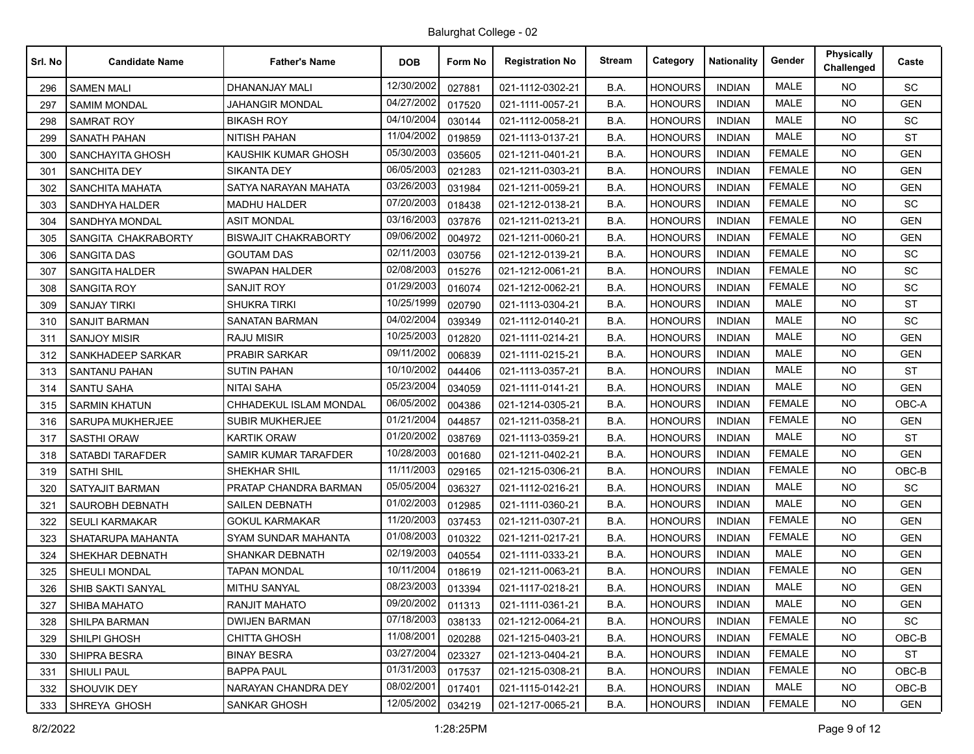| Srl. No | <b>Candidate Name</b>   | <b>Father's Name</b>       | <b>DOB</b> | Form No | <b>Registration No</b> | <b>Stream</b> | Category       | <b>Nationality</b> | Gender        | Physically<br>Challenged | Caste      |
|---------|-------------------------|----------------------------|------------|---------|------------------------|---------------|----------------|--------------------|---------------|--------------------------|------------|
| 296     | <b>SAMEN MALI</b>       | DHANANJAY MALI             | 12/30/2002 | 027881  | 021-1112-0302-21       | B.A.          | <b>HONOURS</b> | <b>INDIAN</b>      | <b>MALE</b>   | NO.                      | SC         |
| 297     | SAMIM MONDAL            | JAHANGIR MONDAL            | 04/27/2002 | 017520  | 021-1111-0057-21       | B.A.          | <b>HONOURS</b> | <b>INDIAN</b>      | <b>MALE</b>   | <b>NO</b>                | <b>GEN</b> |
| 298     | <b>SAMRAT ROY</b>       | <b>BIKASH ROY</b>          | 04/10/2004 | 030144  | 021-1112-0058-21       | B.A.          | <b>HONOURS</b> | <b>INDIAN</b>      | <b>MALE</b>   | <b>NO</b>                | <b>SC</b>  |
| 299     | <b>SANATH PAHAN</b>     | <b>NITISH PAHAN</b>        | 11/04/2002 | 019859  | 021-1113-0137-21       | B.A.          | <b>HONOURS</b> | <b>INDIAN</b>      | <b>MALE</b>   | <b>NO</b>                | <b>ST</b>  |
| 300     | SANCHAYITA GHOSH        | KAUSHIK KUMAR GHOSH        | 05/30/2003 | 035605  | 021-1211-0401-21       | B.A.          | <b>HONOURS</b> | <b>INDIAN</b>      | <b>FEMALE</b> | NO.                      | <b>GEN</b> |
| 301     | <b>SANCHITA DEY</b>     | SIKANTA DEY                | 06/05/2003 | 021283  | 021-1211-0303-21       | B.A.          | <b>HONOURS</b> | <b>INDIAN</b>      | <b>FEMALE</b> | <b>NO</b>                | <b>GEN</b> |
| 302     | <b>SANCHITA MAHATA</b>  | SATYA NARAYAN MAHATA       | 03/26/2003 | 031984  | 021-1211-0059-21       | B.A.          | <b>HONOURS</b> | <b>INDIAN</b>      | <b>FEMALE</b> | NO.                      | <b>GEN</b> |
| 303     | SANDHYA HALDER          | <b>MADHU HALDER</b>        | 07/20/2003 | 018438  | 021-1212-0138-21       | B.A.          | <b>HONOURS</b> | <b>INDIAN</b>      | <b>FEMALE</b> | NO.                      | <b>SC</b>  |
| 304     | <b>SANDHYA MONDAL</b>   | <b>ASIT MONDAL</b>         | 03/16/2003 | 037876  | 021-1211-0213-21       | B.A.          | <b>HONOURS</b> | <b>INDIAN</b>      | <b>FEMALE</b> | NO.                      | <b>GEN</b> |
| 305     | SANGITA CHAKRABORTY     | BISWAJIT CHAKRABORTY       | 09/06/2002 | 004972  | 021-1211-0060-21       | B.A.          | HONOURS        | <b>INDIAN</b>      | <b>FEMALE</b> | <b>NO</b>                | <b>GEN</b> |
| 306     | <b>SANGITA DAS</b>      | <b>GOUTAM DAS</b>          | 02/11/2003 | 030756  | 021-1212-0139-21       | B.A.          | <b>HONOURS</b> | <b>INDIAN</b>      | <b>FEMALE</b> | <b>NO</b>                | SC         |
| 307     | SANGITA HALDER          | <b>SWAPAN HALDER</b>       | 02/08/2003 | 015276  | 021-1212-0061-21       | B.A.          | <b>HONOURS</b> | <b>INDIAN</b>      | <b>FEMALE</b> | <b>NO</b>                | <b>SC</b>  |
| 308     | <b>SANGITA ROY</b>      | <b>SANJIT ROY</b>          | 01/29/2003 | 016074  | 021-1212-0062-21       | B.A.          | <b>HONOURS</b> | <b>INDIAN</b>      | <b>FEMALE</b> | NO.                      | SC         |
| 309     | <b>SANJAY TIRKI</b>     | SHUKRA TIRKI               | 10/25/1999 | 020790  | 021-1113-0304-21       | B.A.          | <b>HONOURS</b> | <b>INDIAN</b>      | <b>MALE</b>   | NO.                      | ST         |
| 310     | <b>SANJIT BARMAN</b>    | <b>SANATAN BARMAN</b>      | 04/02/2004 | 039349  | 021-1112-0140-21       | B.A.          | <b>HONOURS</b> | <b>INDIAN</b>      | <b>MALE</b>   | <b>NO</b>                | SC         |
| 311     | <b>SANJOY MISIR</b>     | <b>RAJU MISIR</b>          | 10/25/2003 | 012820  | 021-1111-0214-21       | B.A.          | <b>HONOURS</b> | <b>INDIAN</b>      | <b>MALE</b>   | <b>NO</b>                | <b>GEN</b> |
| 312     | SANKHADEEP SARKAR       | <b>PRABIR SARKAR</b>       | 09/11/2002 | 006839  | 021-1111-0215-21       | B.A.          | <b>HONOURS</b> | <b>INDIAN</b>      | MALE          | NO.                      | <b>GEN</b> |
| 313     | SANTANU PAHAN           | SUTIN PAHAN                | 10/10/2002 | 044406  | 021-1113-0357-21       | B.A.          | <b>HONOURS</b> | <b>INDIAN</b>      | <b>MALE</b>   | NO.                      | ST         |
| 314     | <b>SANTU SAHA</b>       | <b>NITAI SAHA</b>          | 05/23/2004 | 034059  | 021-1111-0141-21       | B.A.          | <b>HONOURS</b> | <b>INDIAN</b>      | <b>MALE</b>   | <b>NO</b>                | <b>GEN</b> |
| 315     | <b>SARMIN KHATUN</b>    | CHHADEKUL ISLAM MONDAL     | 06/05/2002 | 004386  | 021-1214-0305-21       | B.A.          | <b>HONOURS</b> | <b>INDIAN</b>      | <b>FEMALE</b> | NO.                      | OBC-A      |
| 316     | SARUPA MUKHERJEE        | SUBIR MUKHERJEE            | 01/21/2004 | 044857  | 021-1211-0358-21       | B.A.          | <b>HONOURS</b> | <b>INDIAN</b>      | <b>FEMALE</b> | <b>NO</b>                | <b>GEN</b> |
| 317     | <b>SASTHI ORAW</b>      | <b>KARTIK ORAW</b>         | 01/20/2002 | 038769  | 021-1113-0359-21       | B.A.          | <b>HONOURS</b> | <b>INDIAN</b>      | <b>MALE</b>   | NO.                      | <b>ST</b>  |
| 318     | <b>SATABDI TARAFDER</b> | SAMIR KUMAR TARAFDER       | 10/28/2003 | 001680  | 021-1211-0402-21       | B.A.          | <b>HONOURS</b> | <b>INDIAN</b>      | <b>FEMALE</b> | <b>NO</b>                | <b>GEN</b> |
| 319     | <b>SATHI SHIL</b>       | SHEKHAR SHIL               | 11/11/2003 | 029165  | 021-1215-0306-21       | B.A.          | <b>HONOURS</b> | <b>INDIAN</b>      | <b>FEMALE</b> | NO.                      | OBC-B      |
| 320     | <b>SATYAJIT BARMAN</b>  | PRATAP CHANDRA BARMAN      | 05/05/2004 | 036327  | 021-1112-0216-21       | B.A.          | <b>HONOURS</b> | <b>INDIAN</b>      | <b>MALE</b>   | <b>NO</b>                | SC         |
| 321     | SAUROBH DEBNATH         | <b>SAILEN DEBNATH</b>      | 01/02/2003 | 012985  | 021-1111-0360-21       | B.A.          | <b>HONOURS</b> | <b>INDIAN</b>      | <b>MALE</b>   | NO.                      | <b>GEN</b> |
| 322     | <b>SEULI KARMAKAR</b>   | <b>GOKUL KARMAKAR</b>      | 11/20/2003 | 037453  | 021-1211-0307-21       | B.A.          | <b>HONOURS</b> | <b>INDIAN</b>      | <b>FEMALE</b> | <b>NO</b>                | <b>GEN</b> |
| 323     | SHATARUPA MAHANTA       | <b>SYAM SUNDAR MAHANTA</b> | 01/08/2003 | 010322  | 021-1211-0217-21       | B.A.          | <b>HONOURS</b> | <b>INDIAN</b>      | <b>FEMALE</b> | NO.                      | <b>GEN</b> |
| 324     | SHEKHAR DEBNATH         | SHANKAR DEBNATH            | 02/19/2003 | 040554  | 021-1111-0333-21       | B.A.          | <b>HONOURS</b> | <b>INDIAN</b>      | <b>MALE</b>   | <b>NO</b>                | <b>GEN</b> |
| 325     | SHEULI MONDAL           | <b>TAPAN MONDAL</b>        | 10/11/2004 | 018619  | 021-1211-0063-21       | B.A.          | <b>HONOURS</b> | <b>INDIAN</b>      | <b>FEMALE</b> | NO.                      | <b>GEN</b> |
| 326     | SHIB SAKTI SANYAL       | <b>MITHU SANYAL</b>        | 08/23/2003 | 013394  | 021-1117-0218-21       | B.A.          | <b>HONOURS</b> | <b>INDIAN</b>      | <b>MALE</b>   | <b>NO</b>                | <b>GEN</b> |
| 327     | <b>SHIBA MAHATO</b>     | RANJIT MAHATO              | 09/20/2002 | 011313  | 021-1111-0361-21       | B.A.          | <b>HONOURS</b> | <b>INDIAN</b>      | MALE          | <b>NO</b>                | <b>GEN</b> |
| 328     | SHILPA BARMAN           | <b>DWIJEN BARMAN</b>       | 07/18/2003 | 038133  | 021-1212-0064-21       | B.A.          | <b>HONOURS</b> | <b>INDIAN</b>      | <b>FEMALE</b> | NO.                      | <b>SC</b>  |
| 329     | SHILPI GHOSH            | <b>CHITTA GHOSH</b>        | 11/08/2001 | 020288  | 021-1215-0403-21       | B.A.          | <b>HONOURS</b> | <b>INDIAN</b>      | <b>FEMALE</b> | <b>NO</b>                | OBC-B      |
| 330     | SHIPRA BESRA            | <b>BINAY BESRA</b>         | 03/27/2004 | 023327  | 021-1213-0404-21       | B.A.          | <b>HONOURS</b> | <b>INDIAN</b>      | <b>FEMALE</b> | <b>NO</b>                | <b>ST</b>  |
| 331     | <b>SHIULI PAUL</b>      | <b>BAPPA PAUL</b>          | 01/31/2003 | 017537  | 021-1215-0308-21       | B.A.          | <b>HONOURS</b> | <b>INDIAN</b>      | <b>FEMALE</b> | NO.                      | OBC-B      |
| 332     | SHOUVIK DEY             | NARAYAN CHANDRA DEY        | 08/02/2001 | 017401  | 021-1115-0142-21       | B.A.          | <b>HONOURS</b> | <b>INDIAN</b>      | MALE          | NO.                      | OBC-B      |
| 333     | SHREYA GHOSH            | <b>SANKAR GHOSH</b>        | 12/05/2002 | 034219  | 021-1217-0065-21       | B.A.          | <b>HONOURS</b> | <b>INDIAN</b>      | <b>FEMALE</b> | <b>NO</b>                | <b>GEN</b> |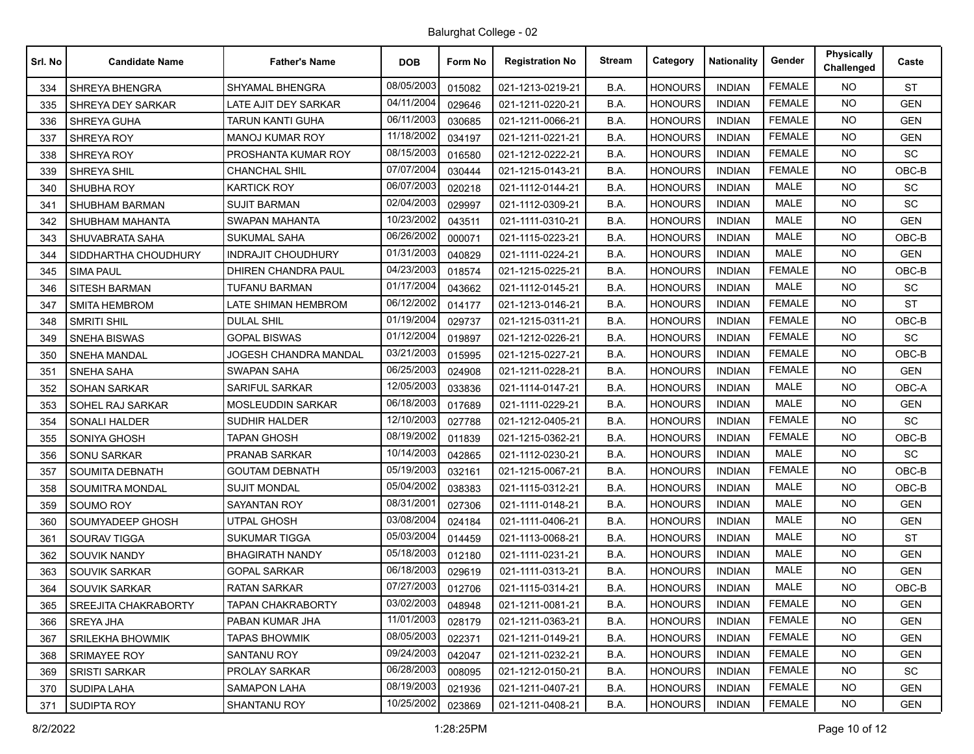| Srl. No | <b>Candidate Name</b>       | <b>Father's Name</b>      | <b>DOB</b> | Form No | <b>Registration No</b> | <b>Stream</b> | Category       | <b>Nationality</b> | Gender        | <b>Physically</b><br>Challenged | Caste      |
|---------|-----------------------------|---------------------------|------------|---------|------------------------|---------------|----------------|--------------------|---------------|---------------------------------|------------|
| 334     | SHREYA BHENGRA              | SHYAMAL BHENGRA           | 08/05/2003 | 015082  | 021-1213-0219-21       | B.A.          | <b>HONOURS</b> | <b>INDIAN</b>      | <b>FEMALE</b> | <b>NO</b>                       | <b>ST</b>  |
| 335     | SHREYA DEY SARKAR           | LATE AJIT DEY SARKAR      | 04/11/2004 | 029646  | 021-1211-0220-21       | B.A.          | <b>HONOURS</b> | <b>INDIAN</b>      | <b>FEMALE</b> | <b>NO</b>                       | <b>GEN</b> |
| 336     | SHREYA GUHA                 | <b>TARUN KANTI GUHA</b>   | 06/11/2003 | 030685  | 021-1211-0066-21       | B.A.          | <b>HONOURS</b> | <b>INDIAN</b>      | <b>FEMALE</b> | <b>NO</b>                       | <b>GEN</b> |
| 337     | SHREYA ROY                  | <b>MANOJ KUMAR ROY</b>    | 11/18/2002 | 034197  | 021-1211-0221-21       | B.A.          | <b>HONOURS</b> | <b>INDIAN</b>      | <b>FEMALE</b> | <b>NO</b>                       | <b>GEN</b> |
| 338     | <b>SHREYA ROY</b>           | PROSHANTA KUMAR ROY       | 08/15/2003 | 016580  | 021-1212-0222-21       | B.A.          | <b>HONOURS</b> | <b>INDIAN</b>      | <b>FEMALE</b> | NO.                             | <b>SC</b>  |
| 339     | SHREYA SHIL                 | <b>CHANCHAL SHIL</b>      | 07/07/2004 | 030444  | 021-1215-0143-21       | B.A.          | <b>HONOURS</b> | <b>INDIAN</b>      | <b>FEMALE</b> | <b>NO</b>                       | OBC-B      |
| 340     | SHUBHA ROY                  | <b>KARTICK ROY</b>        | 06/07/2003 | 020218  | 021-1112-0144-21       | B.A.          | <b>HONOURS</b> | <b>INDIAN</b>      | <b>MALE</b>   | <b>NO</b>                       | <b>SC</b>  |
| 341     | <b>SHUBHAM BARMAN</b>       | <b>SUJIT BARMAN</b>       | 02/04/2003 | 029997  | 021-1112-0309-21       | B.A.          | <b>HONOURS</b> | <b>INDIAN</b>      | <b>MALE</b>   | <b>NO</b>                       | SC         |
| 342     | SHUBHAM MAHANTA             | SWAPAN MAHANTA            | 10/23/2002 | 043511  | 021-1111-0310-21       | B.A.          | <b>HONOURS</b> | <b>INDIAN</b>      | <b>MALE</b>   | NO.                             | <b>GEN</b> |
| 343     | SHUVABRATA SAHA             | SUKUMAL SAHA              | 06/26/2002 | 000071  | 021-1115-0223-21       | B.A.          | <b>HONOURS</b> | <b>INDIAN</b>      | MALE          | <b>NO</b>                       | OBC-B      |
| 344     | SIDDHARTHA CHOUDHURY        | <b>INDRAJIT CHOUDHURY</b> | 01/31/2003 | 040829  | 021-1111-0224-21       | B.A.          | <b>HONOURS</b> | <b>INDIAN</b>      | <b>MALE</b>   | <b>NO</b>                       | <b>GEN</b> |
| 345     | <b>SIMA PAUL</b>            | DHIREN CHANDRA PAUL       | 04/23/2003 | 018574  | 021-1215-0225-21       | B.A.          | <b>HONOURS</b> | <b>INDIAN</b>      | <b>FEMALE</b> | <b>NO</b>                       | OBC-B      |
| 346     | <b>SITESH BARMAN</b>        | <b>TUFANU BARMAN</b>      | 01/17/2004 | 043662  | 021-1112-0145-21       | B.A.          | <b>HONOURS</b> | <b>INDIAN</b>      | <b>MALE</b>   | NO.                             | SC         |
| 347     | <b>SMITA HEMBROM</b>        | LATE SHIMAN HEMBROM       | 06/12/2002 | 014177  | 021-1213-0146-21       | B.A.          | <b>HONOURS</b> | <b>INDIAN</b>      | <b>FEMALE</b> | <b>NO</b>                       | <b>ST</b>  |
| 348     | <b>SMRITI SHIL</b>          | <b>DULAL SHIL</b>         | 01/19/2004 | 029737  | 021-1215-0311-21       | B.A.          | <b>HONOURS</b> | <b>INDIAN</b>      | <b>FEMALE</b> | NO.                             | OBC-B      |
| 349     | <b>SNEHA BISWAS</b>         | <b>GOPAL BISWAS</b>       | 01/12/2004 | 019897  | 021-1212-0226-21       | B.A.          | <b>HONOURS</b> | <b>INDIAN</b>      | <b>FEMALE</b> | <b>NO</b>                       | SC         |
| 350     | <b>SNEHA MANDAL</b>         | JOGESH CHANDRA MANDAL     | 03/21/2003 | 015995  | 021-1215-0227-21       | B.A.          | <b>HONOURS</b> | <b>INDIAN</b>      | <b>FEMALE</b> | NO.                             | OBC-B      |
| 351     | SNEHA SAHA                  | SWAPAN SAHA               | 06/25/2003 | 024908  | 021-1211-0228-21       | B.A.          | <b>HONOURS</b> | <b>INDIAN</b>      | <b>FEMALE</b> | <b>NO</b>                       | <b>GEN</b> |
| 352     | <b>SOHAN SARKAR</b>         | <b>SARIFUL SARKAR</b>     | 12/05/2003 | 033836  | 021-1114-0147-21       | B.A.          | <b>HONOURS</b> | <b>INDIAN</b>      | <b>MALE</b>   | <b>NO</b>                       | OBC-A      |
| 353     | SOHEL RAJ SARKAR            | MOSLEUDDIN SARKAR         | 06/18/2003 | 017689  | 021-1111-0229-21       | B.A.          | <b>HONOURS</b> | <b>INDIAN</b>      | <b>MALE</b>   | <b>NO</b>                       | <b>GEN</b> |
| 354     | SONALI HALDER               | <b>SUDHIR HALDER</b>      | 12/10/2003 | 027788  | 021-1212-0405-21       | B.A.          | <b>HONOURS</b> | <b>INDIAN</b>      | <b>FEMALE</b> | <b>NO</b>                       | <b>SC</b>  |
| 355     | SONIYA GHOSH                | TAPAN GHOSH               | 08/19/2002 | 011839  | 021-1215-0362-21       | B.A.          | <b>HONOURS</b> | <b>INDIAN</b>      | <b>FEMALE</b> | <b>NO</b>                       | OBC-B      |
| 356     | <b>SONU SARKAR</b>          | PRANAB SARKAR             | 10/14/2003 | 042865  | 021-1112-0230-21       | B.A.          | <b>HONOURS</b> | <b>INDIAN</b>      | <b>MALE</b>   | <b>NO</b>                       | SC         |
| 357     | <b>SOUMITA DEBNATH</b>      | <b>GOUTAM DEBNATH</b>     | 05/19/2003 | 032161  | 021-1215-0067-21       | B.A.          | <b>HONOURS</b> | <b>INDIAN</b>      | <b>FEMALE</b> | <b>NO</b>                       | OBC-B      |
| 358     | SOUMITRA MONDAL             | <b>SUJIT MONDAL</b>       | 05/04/2002 | 038383  | 021-1115-0312-21       | B.A.          | <b>HONOURS</b> | <b>INDIAN</b>      | <b>MALE</b>   | NO.                             | OBC-B      |
| 359     | SOUMO ROY                   | SAYANTAN ROY              | 08/31/2001 | 027306  | 021-1111-0148-21       | B.A.          | <b>HONOURS</b> | <b>INDIAN</b>      | <b>MALE</b>   | NO.                             | <b>GEN</b> |
| 360     | SOUMYADEEP GHOSH            | <b>UTPAL GHOSH</b>        | 03/08/2004 | 024184  | 021-1111-0406-21       | B.A.          | <b>HONOURS</b> | <b>INDIAN</b>      | <b>MALE</b>   | <b>NO</b>                       | <b>GEN</b> |
| 361     | SOURAV TIGGA                | <b>SUKUMAR TIGGA</b>      | 05/03/2004 | 014459  | 021-1113-0068-21       | B.A.          | <b>HONOURS</b> | <b>INDIAN</b>      | <b>MALE</b>   | NO.                             | <b>ST</b>  |
| 362     | <b>SOUVIK NANDY</b>         | <b>BHAGIRATH NANDY</b>    | 05/18/2003 | 012180  | 021-1111-0231-21       | B.A.          | <b>HONOURS</b> | <b>INDIAN</b>      | <b>MALE</b>   | <b>NO</b>                       | <b>GEN</b> |
| 363     | SOUVIK SARKAR               | <b>GOPAL SARKAR</b>       | 06/18/2003 | 029619  | 021-1111-0313-21       | B.A.          | <b>HONOURS</b> | <b>INDIAN</b>      | MALE          | <b>NO</b>                       | <b>GEN</b> |
| 364     | SOUVIK SARKAR               | <b>RATAN SARKAR</b>       | 07/27/2003 | 012706  | 021-1115-0314-21       | B.A.          | <b>HONOURS</b> | <b>INDIAN</b>      | <b>MALE</b>   | <b>NO</b>                       | OBC-B      |
| 365     | <b>SREEJITA CHAKRABORTY</b> | <b>TAPAN CHAKRABORTY</b>  | 03/02/2003 | 048948  | 021-1211-0081-21       | B.A.          | <b>HONOURS</b> | <b>INDIAN</b>      | <b>FEMALE</b> | NO.                             | <b>GEN</b> |
| 366     | SREYA JHA                   | PABAN KUMAR JHA           | 11/01/2003 | 028179  | 021-1211-0363-21       | B.A.          | <b>HONOURS</b> | <b>INDIAN</b>      | <b>FEMALE</b> | <b>NO</b>                       | <b>GEN</b> |
| 367     | <b>SRILEKHA BHOWMIK</b>     | <b>TAPAS BHOWMIK</b>      | 08/05/2003 | 022371  | 021-1211-0149-21       | B.A.          | <b>HONOURS</b> | <b>INDIAN</b>      | <b>FEMALE</b> | <b>NO</b>                       | <b>GEN</b> |
| 368     | SRIMAYEE ROY                | <b>SANTANU ROY</b>        | 09/24/2003 | 042047  | 021-1211-0232-21       | B.A.          | <b>HONOURS</b> | <b>INDIAN</b>      | <b>FEMALE</b> | <b>NO</b>                       | <b>GEN</b> |
| 369     | <b>SRISTI SARKAR</b>        | <b>PROLAY SARKAR</b>      | 06/28/2003 | 008095  | 021-1212-0150-21       | B.A.          | <b>HONOURS</b> | <b>INDIAN</b>      | <b>FEMALE</b> | NO.                             | <b>SC</b>  |
| 370     | SUDIPA LAHA                 | <b>SAMAPON LAHA</b>       | 08/19/2003 | 021936  | 021-1211-0407-21       | B.A.          | <b>HONOURS</b> | <b>INDIAN</b>      | <b>FEMALE</b> | <b>NO</b>                       | <b>GEN</b> |
| 371     | <b>SUDIPTA ROY</b>          | SHANTANU ROY              | 10/25/2002 | 023869  | 021-1211-0408-21       | B.A.          | <b>HONOURS</b> | <b>INDIAN</b>      | <b>FEMALE</b> | <b>NO</b>                       | <b>GEN</b> |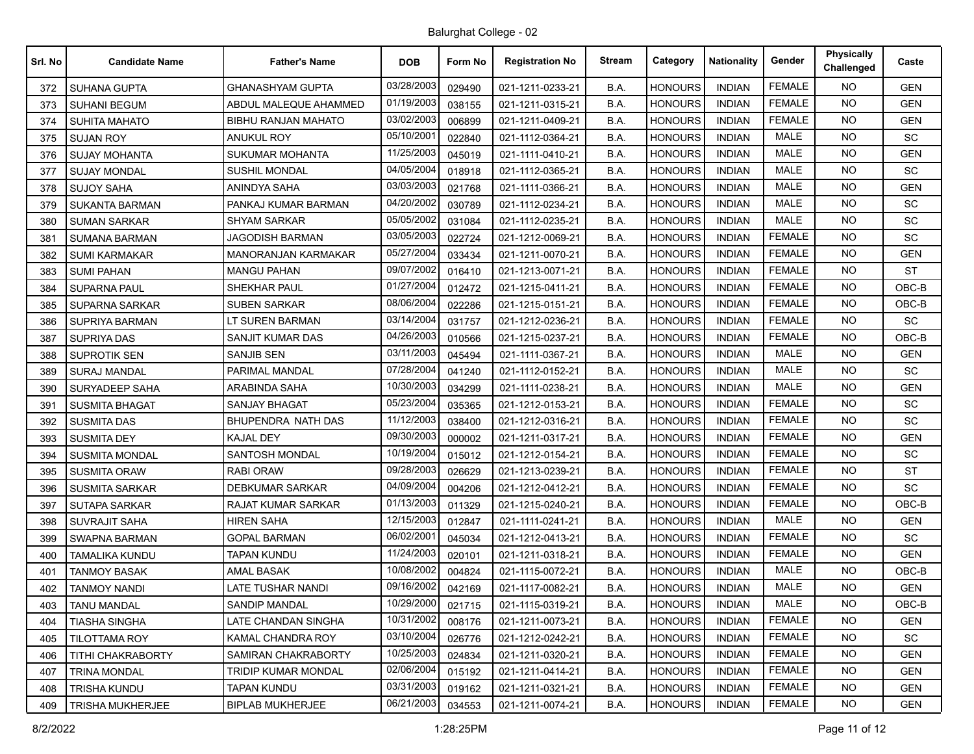| Srl. No | <b>Candidate Name</b>    | <b>Father's Name</b>       | <b>DOB</b> | Form No | <b>Registration No</b> | <b>Stream</b> | Category       | <b>Nationality</b> | Gender        | <b>Physically</b><br>Challenged | Caste      |
|---------|--------------------------|----------------------------|------------|---------|------------------------|---------------|----------------|--------------------|---------------|---------------------------------|------------|
| 372     | SUHANA GUPTA             | <b>GHANASHYAM GUPTA</b>    | 03/28/2003 | 029490  | 021-1211-0233-21       | B.A.          | <b>HONOURS</b> | <b>INDIAN</b>      | <b>FEMALE</b> | <b>NO</b>                       | <b>GEN</b> |
| 373     | <b>SUHANI BEGUM</b>      | ABDUL MALEQUE AHAMMED      | 01/19/2003 | 038155  | 021-1211-0315-21       | B.A.          | <b>HONOURS</b> | <b>INDIAN</b>      | <b>FEMALE</b> | <b>NO</b>                       | <b>GEN</b> |
| 374     | <b>SUHITA MAHATO</b>     | <b>BIBHU RANJAN MAHATO</b> | 03/02/2003 | 006899  | 021-1211-0409-21       | B.A.          | <b>HONOURS</b> | <b>INDIAN</b>      | <b>FEMALE</b> | <b>NO</b>                       | <b>GEN</b> |
| 375     | <b>SUJAN ROY</b>         | <b>ANUKUL ROY</b>          | 05/10/2001 | 022840  | 021-1112-0364-21       | B.A.          | <b>HONOURS</b> | <b>INDIAN</b>      | <b>MALE</b>   | <b>NO</b>                       | SC         |
| 376     | <b>SUJAY MOHANTA</b>     | <b>SUKUMAR MOHANTA</b>     | 11/25/2003 | 045019  | 021-1111-0410-21       | B.A.          | <b>HONOURS</b> | <b>INDIAN</b>      | <b>MALE</b>   | NO.                             | <b>GEN</b> |
| 377     | <b>SUJAY MONDAL</b>      | SUSHIL MONDAL              | 04/05/2004 | 018918  | 021-1112-0365-21       | B.A.          | <b>HONOURS</b> | <b>INDIAN</b>      | <b>MALE</b>   | <b>NO</b>                       | SC         |
| 378     | <b>SUJOY SAHA</b>        | <b>ANINDYA SAHA</b>        | 03/03/2003 | 021768  | 021-1111-0366-21       | B.A.          | <b>HONOURS</b> | <b>INDIAN</b>      | <b>MALE</b>   | <b>NO</b>                       | <b>GEN</b> |
| 379     | <b>SUKANTA BARMAN</b>    | PANKAJ KUMAR BARMAN        | 04/20/2002 | 030789  | 021-1112-0234-21       | B.A.          | <b>HONOURS</b> | <b>INDIAN</b>      | <b>MALE</b>   | <b>NO</b>                       | SC         |
| 380     | <b>SUMAN SARKAR</b>      | <b>SHYAM SARKAR</b>        | 05/05/2002 | 031084  | 021-1112-0235-21       | B.A.          | <b>HONOURS</b> | <b>INDIAN</b>      | MALE          | NO.                             | <b>SC</b>  |
| 381     | <b>SUMANA BARMAN</b>     | <b>JAGODISH BARMAN</b>     | 03/05/2003 | 022724  | 021-1212-0069-21       | B.A.          | <b>HONOURS</b> | <b>INDIAN</b>      | <b>FEMALE</b> | <b>NO</b>                       | SC         |
| 382     | <b>SUMI KARMAKAR</b>     | <b>MANORANJAN KARMAKAR</b> | 05/27/2004 | 033434  | 021-1211-0070-21       | B.A.          | <b>HONOURS</b> | <b>INDIAN</b>      | <b>FEMALE</b> | NO.                             | <b>GEN</b> |
| 383     | <b>SUMI PAHAN</b>        | <b>MANGU PAHAN</b>         | 09/07/2002 | 016410  | 021-1213-0071-21       | B.A.          | <b>HONOURS</b> | <b>INDIAN</b>      | <b>FEMALE</b> | <b>NO</b>                       | <b>ST</b>  |
| 384     | <b>SUPARNA PAUL</b>      | SHEKHAR PAUL               | 01/27/2004 | 012472  | 021-1215-0411-21       | B.A.          | <b>HONOURS</b> | <b>INDIAN</b>      | <b>FEMALE</b> | NO.                             | $OBC-B$    |
| 385     | <b>SUPARNA SARKAR</b>    | <b>SUBEN SARKAR</b>        | 08/06/2004 | 022286  | 021-1215-0151-21       | B.A.          | <b>HONOURS</b> | <b>INDIAN</b>      | <b>FEMALE</b> | <b>NO</b>                       | $OBC-B$    |
| 386     | <b>SUPRIYA BARMAN</b>    | LT SUREN BARMAN            | 03/14/2004 | 031757  | 021-1212-0236-21       | B.A.          | <b>HONOURS</b> | <b>INDIAN</b>      | <b>FEMALE</b> | NO.                             | SC         |
| 387     | <b>SUPRIYA DAS</b>       | SANJIT KUMAR DAS           | 04/26/2003 | 010566  | 021-1215-0237-21       | B.A.          | <b>HONOURS</b> | <b>INDIAN</b>      | <b>FEMALE</b> | <b>NO</b>                       | $OBC-B$    |
| 388     | <b>SUPROTIK SEN</b>      | <b>SANJIB SEN</b>          | 03/11/2003 | 045494  | 021-1111-0367-21       | B.A.          | <b>HONOURS</b> | <b>INDIAN</b>      | <b>MALE</b>   | NO.                             | <b>GEN</b> |
| 389     | <b>SURAJ MANDAL</b>      | PARIMAL MANDAL             | 07/28/2004 | 041240  | 021-1112-0152-21       | B.A.          | <b>HONOURS</b> | <b>INDIAN</b>      | <b>MALE</b>   | <b>NO</b>                       | SC         |
| 390     | <b>SURYADEEP SAHA</b>    | <b>ARABINDA SAHA</b>       | 10/30/2003 | 034299  | 021-1111-0238-21       | B.A.          | <b>HONOURS</b> | <b>INDIAN</b>      | <b>MALE</b>   | NO.                             | <b>GEN</b> |
| 391     | <b>SUSMITA BHAGAT</b>    | <b>SANJAY BHAGAT</b>       | 05/23/2004 | 035365  | 021-1212-0153-21       | B.A.          | <b>HONOURS</b> | <b>INDIAN</b>      | <b>FEMALE</b> | <b>NO</b>                       | SC         |
| 392     | <b>SUSMITA DAS</b>       | BHUPENDRA NATH DAS         | 11/12/2003 | 038400  | 021-1212-0316-21       | B.A.          | <b>HONOURS</b> | <b>INDIAN</b>      | <b>FEMALE</b> | NO.                             | SC         |
| 393     | <b>SUSMITA DEY</b>       | <b>KAJAL DEY</b>           | 09/30/2003 | 000002  | 021-1211-0317-21       | B.A.          | <b>HONOURS</b> | <b>INDIAN</b>      | <b>FEMALE</b> | <b>NO</b>                       | <b>GEN</b> |
| 394     | <b>SUSMITA MONDAL</b>    | SANTOSH MONDAL             | 10/19/2004 | 015012  | 021-1212-0154-21       | B.A.          | <b>HONOURS</b> | <b>INDIAN</b>      | <b>FEMALE</b> | <b>NO</b>                       | SC         |
| 395     | <b>SUSMITA ORAW</b>      | <b>RABI ORAW</b>           | 09/28/2003 | 026629  | 021-1213-0239-21       | B.A.          | <b>HONOURS</b> | <b>INDIAN</b>      | <b>FEMALE</b> | <b>NO</b>                       | <b>ST</b>  |
| 396     | <b>SUSMITA SARKAR</b>    | <b>DEBKUMAR SARKAR</b>     | 04/09/2004 | 004206  | 021-1212-0412-21       | B.A.          | <b>HONOURS</b> | <b>INDIAN</b>      | <b>FEMALE</b> | <b>NO</b>                       | SC         |
| 397     | SUTAPA SARKAR            | RAJAT KUMAR SARKAR         | 01/13/2003 | 011329  | 021-1215-0240-21       | B.A.          | <b>HONOURS</b> | <b>INDIAN</b>      | <b>FEMALE</b> | <b>NO</b>                       | OBC-B      |
| 398     | <b>SUVRAJIT SAHA</b>     | <b>HIREN SAHA</b>          | 12/15/2003 | 012847  | 021-1111-0241-21       | B.A.          | <b>HONOURS</b> | <b>INDIAN</b>      | <b>MALE</b>   | <b>NO</b>                       | <b>GEN</b> |
| 399     | <b>SWAPNA BARMAN</b>     | <b>GOPAL BARMAN</b>        | 06/02/2001 | 045034  | 021-1212-0413-21       | B.A.          | <b>HONOURS</b> | <b>INDIAN</b>      | <b>FEMALE</b> | <b>NO</b>                       | <b>SC</b>  |
| 400     | TAMALIKA KUNDU           | <b>TAPAN KUNDU</b>         | 11/24/2003 | 020101  | 021-1211-0318-21       | B.A.          | <b>HONOURS</b> | <b>INDIAN</b>      | <b>FEMALE</b> | <b>NO</b>                       | <b>GEN</b> |
| 401     | <b>TANMOY BASAK</b>      | AMAL BASAK                 | 10/08/2002 | 004824  | 021-1115-0072-21       | B.A.          | <b>HONOURS</b> | <b>INDIAN</b>      | <b>MALE</b>   | <b>NO</b>                       | OBC-B      |
| 402     | <b>TANMOY NANDI</b>      | <b>LATE TUSHAR NANDI</b>   | 09/16/2002 | 042169  | 021-1117-0082-21       | B.A.          | <b>HONOURS</b> | <b>INDIAN</b>      | <b>MALE</b>   | <b>NO</b>                       | <b>GEN</b> |
| 403     | <b>TANU MANDAL</b>       | <b>SANDIP MANDAL</b>       | 10/29/2000 | 021715  | 021-1115-0319-21       | B.A.          | HONOURS        | INDIAN             | MALE          | NO.                             | OBC-B      |
| 404     | <b>TIASHA SINGHA</b>     | LATE CHANDAN SINGHA        | 10/31/2002 | 008176  | 021-1211-0073-21       | B.A.          | <b>HONOURS</b> | <b>INDIAN</b>      | <b>FEMALE</b> | NO.                             | <b>GEN</b> |
| 405     | TILOTTAMA ROY            | KAMAL CHANDRA ROY          | 03/10/2004 | 026776  | 021-1212-0242-21       | B.A.          | <b>HONOURS</b> | <b>INDIAN</b>      | <b>FEMALE</b> | NO.                             | <b>SC</b>  |
| 406     | <b>TITHI CHAKRABORTY</b> | SAMIRAN CHAKRABORTY        | 10/25/2003 | 024834  | 021-1211-0320-21       | B.A.          | <b>HONOURS</b> | <b>INDIAN</b>      | <b>FEMALE</b> | <b>NO</b>                       | <b>GEN</b> |
| 407     | <b>TRINA MONDAL</b>      | <b>TRIDIP KUMAR MONDAL</b> | 02/06/2004 | 015192  | 021-1211-0414-21       | B.A.          | <b>HONOURS</b> | <b>INDIAN</b>      | <b>FEMALE</b> | NO.                             | <b>GEN</b> |
| 408     | TRISHA KUNDU             | <b>TAPAN KUNDU</b>         | 03/31/2003 | 019162  | 021-1211-0321-21       | B.A.          | <b>HONOURS</b> | <b>INDIAN</b>      | <b>FEMALE</b> | <b>NO</b>                       | <b>GEN</b> |
| 409     | TRISHA MUKHERJEE         | <b>BIPLAB MUKHERJEE</b>    | 06/21/2003 | 034553  | 021-1211-0074-21       | B.A.          | <b>HONOURS</b> | <b>INDIAN</b>      | <b>FEMALE</b> | <b>NO</b>                       | GEN        |